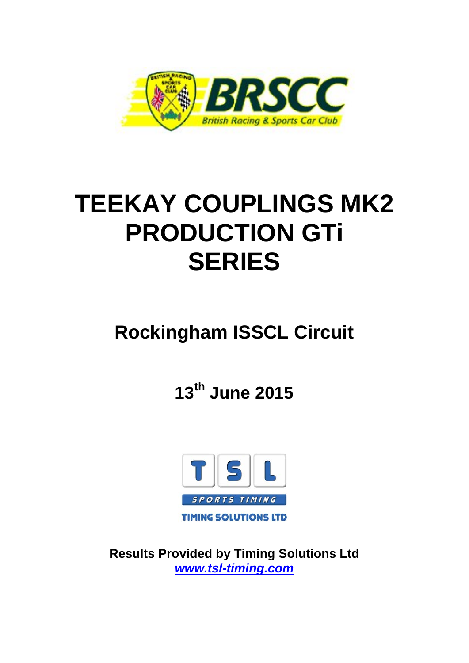

# **TEEKAY COUPLINGS MK2 PRODUCTION GTi SERIES**

## **Rockingham ISSCL Circuit**

**13th June 2015**



**Results Provided by Timing Solutions Ltd** *www.tsl-timing.com*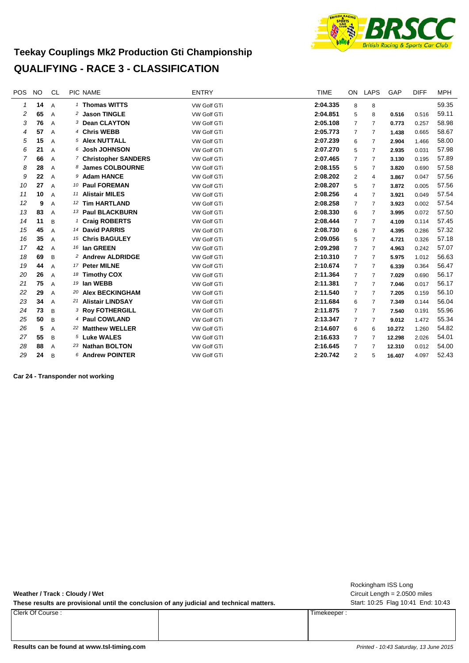

#### **Teekay Couplings Mk2 Production Gti Championship QUALIFYING - RACE 3 - CLASSIFICATION**

| <b>POS</b>   | <b>NO</b> | <b>CL</b>      | <b>PIC NAME</b>              | <b>ENTRY</b>       | <b>TIME</b> | ON.            | LAPS           | GAP    | <b>DIFF</b> | <b>MPH</b> |
|--------------|-----------|----------------|------------------------------|--------------------|-------------|----------------|----------------|--------|-------------|------------|
| $\mathcal I$ | 14        | $\overline{A}$ | <sup>1</sup> Thomas WITTS    | VW Golf GTi        | 2:04.335    | 8              | 8              |        |             | 59.35      |
| 2            | 65        | A              | <sup>2</sup> Jason TINGLE    | <b>VW Golf GTi</b> | 2:04.851    | 5              | 8              | 0.516  | 0.516       | 59.11      |
| 3            | 76        | A              | 3 Dean CLAYTON               | VW Golf GTi        | 2:05.108    | 7              | 7              | 0.773  | 0.257       | 58.98      |
| 4            | 57        | A              | <sup>4</sup> Chris WEBB      | VW Golf GTi        | 2:05.773    | 7              | 7              | 1.438  | 0.665       | 58.67      |
| 5            | 15        | A              | 5 Alex NUTTALL               | <b>VW Golf GTi</b> | 2:07.239    | 6              | 7              | 2.904  | 1.466       | 58.00      |
| 6            | 21        | A              | 6 Josh JOHNSON               | <b>VW Golf GTi</b> | 2:07.270    | 5              | 7              | 2.935  | 0.031       | 57.98      |
| 7            | 66        | A              | 7 Christopher SANDERS        | <b>VW Golf GTi</b> | 2:07.465    | $\overline{7}$ | $\overline{7}$ | 3.130  | 0.195       | 57.89      |
| 8            | 28        | A              | 8 James COLBOURNE            | VW Golf GTi        | 2:08.155    | 5              | 7              | 3.820  | 0.690       | 57.58      |
| 9            | 22        | A              | 9 Adam HANCE                 | VW Golf GTi        | 2:08.202    | $\overline{2}$ | 4              | 3.867  | 0.047       | 57.56      |
| 10           | 27        | A              | 10 Paul FOREMAN              | <b>VW Golf GTi</b> | 2:08.207    | 5              | 7              | 3.872  | 0.005       | 57.56      |
| 11           | 10        | A              | 11 Alistair MILES            | <b>VW Golf GTi</b> | 2:08.256    | 4              | 7              | 3.921  | 0.049       | 57.54      |
| 12           | 9         | A              | 12 Tim HARTLAND              | VW Golf GTi        | 2:08.258    | $\overline{7}$ | 7              | 3.923  | 0.002       | 57.54      |
| 13           | 83        | A              | 13 Paul BLACKBURN            | VW Golf GTi        | 2:08.330    | 6              | 7              | 3.995  | 0.072       | 57.50      |
| 14           | 11        | B              | <sup>1</sup> Craig ROBERTS   | VW Golf GTi        | 2:08.444    | $\overline{7}$ | 7              | 4.109  | 0.114       | 57.45      |
| 15           | 45        | A              | 14 David PARRIS              | <b>VW Golf GTi</b> | 2:08.730    | 6              | 7              | 4.395  | 0.286       | 57.32      |
| 16           | 35        | A              | <sup>15</sup> Chris BAGULEY  | VW Golf GTi        | 2:09.056    | 5              | 7              | 4.721  | 0.326       | 57.18      |
| 17           | 42        | A              | 16 Ian GREEN                 | VW Golf GTi        | 2:09.298    | $\overline{7}$ | 7              | 4.963  | 0.242       | 57.07      |
| 18           | 69        | B              | <sup>2</sup> Andrew ALDRIDGE | VW Golf GTi        | 2:10.310    | $\overline{7}$ | 7              | 5.975  | 1.012       | 56.63      |
| 19           | 44        | A              | 17 Peter MILNE               | VW Golf GTi        | 2:10.674    | $\overline{7}$ | 7              | 6.339  | 0.364       | 56.47      |
| 20           | 26        | A              | 18 Timothy COX               | VW Golf GTi        | 2:11.364    | $\overline{7}$ | $\overline{7}$ | 7.029  | 0.690       | 56.17      |
| 21           | 75        | $\overline{A}$ | 19 Ian WEBB                  | <b>VW Golf GTi</b> | 2:11.381    | $\overline{7}$ | 7              | 7.046  | 0.017       | 56.17      |
| 22           | 29        | A              | 20 Alex BECKINGHAM           | <b>VW Golf GTi</b> | 2:11.540    | $\overline{7}$ | 7              | 7.205  | 0.159       | 56.10      |
| 23           | 34        | $\overline{A}$ | 21 Alistair LINDSAY          | VW Golf GTi        | 2:11.684    | 6              | $\overline{7}$ | 7.349  | 0.144       | 56.04      |
| 24           | 73        | B              | <sup>3</sup> Roy FOTHERGILL  | VW Golf GTi        | 2:11.875    | $\overline{7}$ | 7              | 7.540  | 0.191       | 55.96      |
| 25           | 50        | B              | 4 Paul COWLAND               | VW Golf GTi        | 2:13.347    | 7              | 7              | 9.012  | 1.472       | 55.34      |
| 26           | 5         | A              | 22 Matthew WELLER            | <b>VW Golf GTi</b> | 2:14.607    | 6              | 6              | 10.272 | 1.260       | 54.82      |
| 27           | 55        | B              | 5 Luke WALES                 | <b>VW Golf GTI</b> | 2:16.633    | $\overline{7}$ | 7              | 12.298 | 2.026       | 54.01      |
| 28           | 88        | A              | 23 Nathan BOLTON             | VW Golf GTi        | 2:16.645    | $\overline{7}$ | 7              | 12.310 | 0.012       | 54.00      |
| 29           | 24        | B              | <b>6 Andrew POINTER</b>      | VW Golf GTi        | 2:20.742    | 2              | 5              | 16.407 | 4.097       | 52.43      |

**Car 24 - Transponder not working**

**Weather / Track : Cloudy / Wet**

These results are provisional until the conclusion of any judicial and technical matters. Start: 10:25 Flag 10:41 End: 10:43

Clerk Of Course : Timekeeper :

Circuit Length = 2.0500 miles Rockingham ISS Long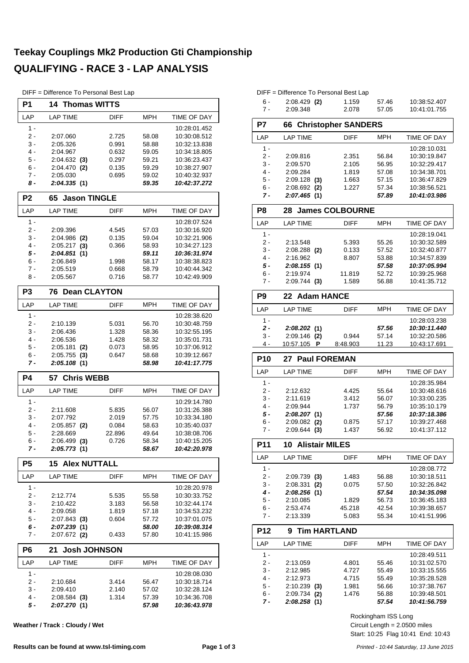#### **Teekay Couplings Mk2 Production Gti Championship QUALIFYING - RACE 3 - LAP ANALYSIS**

DIFF = Difference To Personal Best Lap

| P1             | <b>14 Thomas WITTS</b>    |                |                |                              |  |  |  |  |  |  |  |
|----------------|---------------------------|----------------|----------------|------------------------------|--|--|--|--|--|--|--|
| LAP            | <b>LAP TIME</b>           | <b>DIFF</b>    | MPH            | <b>TIME OF DAY</b>           |  |  |  |  |  |  |  |
| $1 -$          |                           |                |                | 10:28:01.452                 |  |  |  |  |  |  |  |
| 2 -            | 2:07.060                  | 2.725          | 58.08          | 10:30:08.512                 |  |  |  |  |  |  |  |
| 3 -            | 2:05.326                  | 0.991          | 58.88          | 10:32:13.838                 |  |  |  |  |  |  |  |
| 4 -            | 2:04.967                  | 0.632          | 59.05          | 10:34:18.805                 |  |  |  |  |  |  |  |
| 5 -            | $2:04.632$ (3)            | 0.297          | 59.21          | 10:36:23.437                 |  |  |  |  |  |  |  |
| 6 -<br>7 -     | 2:04.470 (2)<br>2:05.030  | 0.135<br>0.695 | 59.29          | 10:38:27.907<br>10:40:32.937 |  |  |  |  |  |  |  |
| 8 -            | 2:04.335(1)               |                | 59.02<br>59.35 | 10:42:37.272                 |  |  |  |  |  |  |  |
| P <sub>2</sub> | <b>Jason TINGLE</b><br>65 |                |                |                              |  |  |  |  |  |  |  |
| LAP            | <b>LAP TIME</b>           | <b>DIFF</b>    | <b>MPH</b>     | <b>TIME OF DAY</b>           |  |  |  |  |  |  |  |
| $1 -$          |                           |                |                | 10:28:07.524                 |  |  |  |  |  |  |  |
| 2 -            | 2:09.396                  | 4.545          | 57.03          | 10:30:16.920                 |  |  |  |  |  |  |  |
| 3 -            | 2:04.986<br>(2)           | 0.135          | 59.04          | 10:32:21.906                 |  |  |  |  |  |  |  |
| 4 -            | 2:05.217<br>(3)           | 0.366          | 58.93          | 10:34:27.123                 |  |  |  |  |  |  |  |
| 5 -            | 2:04.851<br>(1)           |                | 59.11          | 10:36:31.974                 |  |  |  |  |  |  |  |
| 6 -            | 2:06.849                  | 1.998          | 58.17          | 10:38:38.823                 |  |  |  |  |  |  |  |
| $7 -$          | 2:05.519                  | 0.668          | 58.79          | 10:40:44.342                 |  |  |  |  |  |  |  |
| 8 -            | 2:05.567                  | 0.716          | 58.77          | 10:42:49.909                 |  |  |  |  |  |  |  |
| P <sub>3</sub> | <b>Dean CLAYTON</b><br>76 |                |                |                              |  |  |  |  |  |  |  |
| LAP            | LAP TIME                  | DIFF           | <b>MPH</b>     | TIME OF DAY                  |  |  |  |  |  |  |  |
| $1 -$          |                           |                |                | 10:28:38.620                 |  |  |  |  |  |  |  |
| 2 -            | 2:10.139                  | 5.031          | 56.70          | 10:30:48.759                 |  |  |  |  |  |  |  |
| $3 -$          | 2:06.436                  | 1.328          | 58.36          | 10:32:55.195                 |  |  |  |  |  |  |  |
| 4 -            | 2:06.536                  | 1.428          | 58.32          | 10:35:01.731                 |  |  |  |  |  |  |  |
| 5 -            | 2:05.181<br>(2)           | 0.073          | 58.95          | 10:37:06.912                 |  |  |  |  |  |  |  |
| 6 -            | 2:05.755<br>(3)           | 0.647          | 58.68          | 10:39:12.667                 |  |  |  |  |  |  |  |
| 7 -            | 2:05.108(1)               |                | 58.98          | 10:41:17.775                 |  |  |  |  |  |  |  |
| <b>P4</b>      | <b>Chris WEBB</b><br>57   |                |                |                              |  |  |  |  |  |  |  |
| LAP            | <b>LAP TIME</b>           | <b>DIFF</b>    | <b>MPH</b>     | TIME OF DAY                  |  |  |  |  |  |  |  |
| $1 -$          |                           |                |                | 10:29:14.780                 |  |  |  |  |  |  |  |
| 2 -            | 2:11.608                  | 5.835          | 56.07          | 10:31:26.388                 |  |  |  |  |  |  |  |
| 3 -            | 2:07.792                  | 2.019          | 57.75          | 10:33:34.180                 |  |  |  |  |  |  |  |
| 4 -            | $2:05.857$ (2)            | 0.084          | 58.63          | 10:35:40.037                 |  |  |  |  |  |  |  |
| 5 -            | 2:28.669                  | 22.896         | 49.64          | 10:38:08.706                 |  |  |  |  |  |  |  |
| 6 -            | 2:06.499 (3)              | 0.726          | 58.34          | 10:40:15.205                 |  |  |  |  |  |  |  |
| 7 -            | 2:05.773(1)               |                | 58.67          | 10:42:20.978                 |  |  |  |  |  |  |  |
| P5             | 15<br><b>Alex NUTTALL</b> |                |                |                              |  |  |  |  |  |  |  |
| LAP            | LAP TIME                  | DIFF           | <b>MPH</b>     | TIME OF DAY                  |  |  |  |  |  |  |  |
| $1 -$          |                           |                |                | 10:28:20.978                 |  |  |  |  |  |  |  |
| 2 -            | 2:12.774                  | 5.535          | 55.58          | 10:30:33.752                 |  |  |  |  |  |  |  |
| 3 -            | 2:10.422                  | 3.183          | 56.58          | 10:32:44.174                 |  |  |  |  |  |  |  |
| 4 -            | 2:09.058                  | 1.819          | 57.18          | 10:34:53.232                 |  |  |  |  |  |  |  |
| 5 -            | $2:07.843$ (3)            | 0.604          | 57.72          | 10:37:01.075                 |  |  |  |  |  |  |  |
| 6 -            | 2:07.239(1)               |                | 58.00          | 10:39:08.314                 |  |  |  |  |  |  |  |
| 7 -            | $2:07.672$ (2)            | 0.433          | 57.80          | 10:41:15.986                 |  |  |  |  |  |  |  |
| P <sub>6</sub> | <b>Josh JOHNSON</b><br>21 |                |                |                              |  |  |  |  |  |  |  |
| LAP            | LAP TIME                  | DIFF           | MPH            | TIME OF DAY                  |  |  |  |  |  |  |  |
| $1 -$          |                           |                |                | 10:28:08.030                 |  |  |  |  |  |  |  |
| $2 -$          | 2:10.684                  | 3.414          | 56.47          | 10:30:18.714                 |  |  |  |  |  |  |  |
| $3 -$          | 2:09.410                  | 2.140          | 57.02          | 10:32:28.124                 |  |  |  |  |  |  |  |
| 4 -            | $2:08.584$ (3)            | 1.314          | 57.39          | 10:34:36.708                 |  |  |  |  |  |  |  |
| 5 -            | 2:07.270(1)               |                | 57.98          | 10:36:43.978                 |  |  |  |  |  |  |  |

**Weather / Track : Cloudy / Wet**

### **P7 66 Christopher SANDERS**

DIFF = Difference To Personal Best Lap

6 - 2:08.429 1.159 10:38:52.407 **(2)** 57.46

10:41:01.755

| LAP        | <b>LAP TIME</b>             | <b>DIFF</b>            | MPH            | TIME OF DAY                  |  |  |  |  |  |  |  |  |
|------------|-----------------------------|------------------------|----------------|------------------------------|--|--|--|--|--|--|--|--|
| $1 -$      |                             |                        |                | 10:28:10.031                 |  |  |  |  |  |  |  |  |
| $2 -$      | 2:09.816                    | 2.351                  | 56.84          | 10:30:19.847                 |  |  |  |  |  |  |  |  |
| 3 -        | 2:09.570                    | 2.105                  | 56.95          | 10:32:29.417                 |  |  |  |  |  |  |  |  |
| 4 -        | 2:09.284                    | 1.819                  | 57.08          | 10:34:38.701                 |  |  |  |  |  |  |  |  |
| 5 -        | $2:09.128$ (3)              | 1.663                  | 57.15          | 10:36:47.829                 |  |  |  |  |  |  |  |  |
| 6 -        | $2:08.692$ (2)              | 1.227                  | 57.34          | 10:38:56.521                 |  |  |  |  |  |  |  |  |
| 7 -        | 2:07.465 (1)                |                        | 57.89          | 10:41:03.986                 |  |  |  |  |  |  |  |  |
| P8         | 28                          | <b>James COLBOURNE</b> |                |                              |  |  |  |  |  |  |  |  |
| LAP        | <b>LAP TIME</b>             | <b>DIFF</b>            | MPH            | <b>TIME OF DAY</b>           |  |  |  |  |  |  |  |  |
| 1 -        |                             |                        |                | 10:28:19.041                 |  |  |  |  |  |  |  |  |
| $2 -$      | 2:13.548                    | 5.393                  | 55.26          | 10:30:32.589                 |  |  |  |  |  |  |  |  |
| 3 -        | $2:08.288$ (2)              | 0.133                  | 57.52          | 10:32:40.877                 |  |  |  |  |  |  |  |  |
| 4 -        | 2:16.962                    | 8.807                  | 53.88          | 10:34:57.839                 |  |  |  |  |  |  |  |  |
| 5 -        | 2:08.155 (1)                |                        | 57.58          | 10:37:05.994                 |  |  |  |  |  |  |  |  |
| 6 -        | 2:19.974                    | 11.819                 | 52.72          | 10:39:25.968                 |  |  |  |  |  |  |  |  |
| 7 -        | 2:09.744(3)                 | 1.589                  | 56.88          | 10:41:35.712                 |  |  |  |  |  |  |  |  |
| P9         | 22 Adam HANCE               |                        |                |                              |  |  |  |  |  |  |  |  |
| LAP        | <b>LAP TIME</b>             | <b>DIFF</b>            | MPH            | TIME OF DAY                  |  |  |  |  |  |  |  |  |
| $1 -$      |                             |                        |                | 10:28:03.238                 |  |  |  |  |  |  |  |  |
| 2 -        | 2:08.202(1)                 |                        | 57.56          | 10:30:11.440                 |  |  |  |  |  |  |  |  |
| 3 -        | $2:09.146$ (2)              | 0.944                  | 57.14          | 10:32:20.586                 |  |  |  |  |  |  |  |  |
| 4 -        | 10:57.105 <b>P</b>          | 8:48.903               | 11.23          | 10:43:17.691                 |  |  |  |  |  |  |  |  |
| <b>P10</b> | 27 Paul FOREMAN             |                        |                |                              |  |  |  |  |  |  |  |  |
| LAP        | <b>LAP TIME</b>             | <b>DIFF</b>            | <b>MPH</b>     | TIME OF DAY                  |  |  |  |  |  |  |  |  |
|            |                             |                        |                |                              |  |  |  |  |  |  |  |  |
| 1 -        |                             |                        |                | 10:28:35.984                 |  |  |  |  |  |  |  |  |
| 2 -        | 2:12.632                    | 4.425                  | 55.64          | 10:30:48.616                 |  |  |  |  |  |  |  |  |
| 3 -        | 2:11.619                    | 3.412                  | 56.07          | 10:33:00.235                 |  |  |  |  |  |  |  |  |
| 4 -        | 2:09.944                    | 1.737                  | 56.79          | 10:35:10.179                 |  |  |  |  |  |  |  |  |
| 5 -        | 2:08.207(1)                 |                        | 57.56          | 10:37:18.386                 |  |  |  |  |  |  |  |  |
| 6 -        | $2:09.082$ (2)              | 0.875                  | 57.17          | 10:39:27.468                 |  |  |  |  |  |  |  |  |
| $7 -$      | $2:09.644$ (3)              | 1.437                  | 56.92          | 10:41:37.112                 |  |  |  |  |  |  |  |  |
| P11        | <b>10 Alistair MILES</b>    |                        |                |                              |  |  |  |  |  |  |  |  |
| LAP        | <b>LAP TIME</b>             | DIFF                   | <b>MPH</b>     | TIME OF DAY                  |  |  |  |  |  |  |  |  |
| 1 -        |                             |                        |                | 10:28:08.772                 |  |  |  |  |  |  |  |  |
| 2 -        | 2:09.739 (3)                | 1.483                  | 56.88          | 10:30:18.511                 |  |  |  |  |  |  |  |  |
| 3 -        | 2:08.331 (2)                | 0.075                  | 57.50          | 10:32:26.842                 |  |  |  |  |  |  |  |  |
| 4 -        | 2:08.256(1)                 |                        | 57.54          | 10:34:35.098                 |  |  |  |  |  |  |  |  |
| $5 -$      | 2:10.085                    | 1.829                  | 56.73          | 10:36:45.183                 |  |  |  |  |  |  |  |  |
| 6 -        | 2:53.474                    | 45.218                 | 42.54          | 10:39:38.657                 |  |  |  |  |  |  |  |  |
| $7 -$      | 2:13.339                    | 5.083                  | 55.34          | 10:41:51.996                 |  |  |  |  |  |  |  |  |
| P12        | <b>Tim HARTLAND</b><br>9    |                        |                |                              |  |  |  |  |  |  |  |  |
| LAP        | LAP TIME                    | <b>DIFF</b>            | MPH            | TIME OF DAY                  |  |  |  |  |  |  |  |  |
| 1 -        |                             |                        |                | 10:28:49.511                 |  |  |  |  |  |  |  |  |
| 2 -        | 2:13.059                    | 4.801                  | 55.46          | 10:31:02.570                 |  |  |  |  |  |  |  |  |
| 3 -        | 2:12.985                    | 4.727                  | 55.49          | 10:33:15.555                 |  |  |  |  |  |  |  |  |
| 4 -        | 2:12.973                    | 4.715                  | 55.49          | 10:35:28.528                 |  |  |  |  |  |  |  |  |
| 5 -        | $2:10.239$ (3)              | 1.981                  | 56.66          | 10:37:38.767                 |  |  |  |  |  |  |  |  |
| 6 -<br>7 - | 2:09.734 (2)<br>2:08.258(1) | 1.476                  | 56.88<br>57.54 | 10:39:48.501<br>10:41:56.759 |  |  |  |  |  |  |  |  |

Start: 10:25 Flag 10:41 End: 10:43 Circuit Length = 2.0500 miles Rockingham ISS Long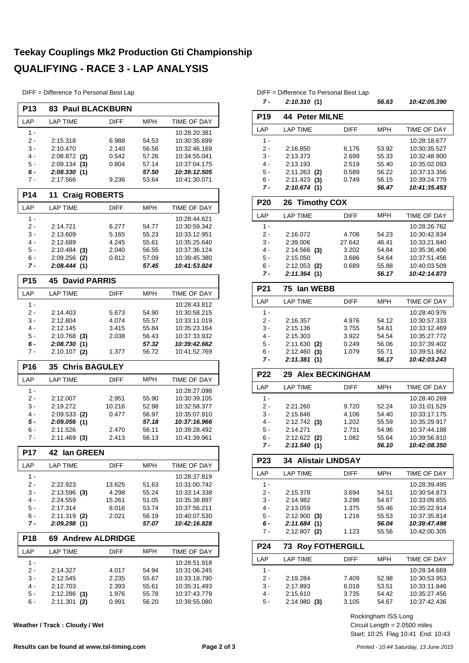#### **Teekay Couplings Mk2 Production Gti Championship QUALIFYING - RACE 3 - LAP ANALYSIS**

DIFF = Difference To Personal Best Lap

| <b>P13</b>      | <b>83 Paul BLACKBURN</b>      |                        |                |                              |  |  |  |  |  |  |
|-----------------|-------------------------------|------------------------|----------------|------------------------------|--|--|--|--|--|--|
| LAP             | <b>LAP TIME</b>               | DIFF                   | MPH            | <b>TIME OF DAY</b>           |  |  |  |  |  |  |
| 1 -             |                               |                        |                | 10:28:20.381                 |  |  |  |  |  |  |
| 2 -             | 2:15.318                      | 6.988                  | 54.53          | 10:30:35.699                 |  |  |  |  |  |  |
| 3 -             | 2:10.470                      | 2.140                  | 56.56          | 10:32:46.169                 |  |  |  |  |  |  |
| 4 -             | $2:08.872$ (2)                | 0.542                  | 57.26          | 10:34:55.041                 |  |  |  |  |  |  |
| 5 -             | 2:09.134<br>(3)               | 0.804                  | 57.14          | 10:37:04.175                 |  |  |  |  |  |  |
| 6 -<br>7 -      | 2:08.330(1)<br>2:17.566       | 9.236                  | 57.50<br>53.64 | 10:39:12.505<br>10:41:30.071 |  |  |  |  |  |  |
| P <sub>14</sub> | <b>Craig ROBERTS</b><br>11    |                        |                |                              |  |  |  |  |  |  |
| LAP             | <b>LAP TIME</b>               | <b>DIFF</b>            | MPH            | <b>TIME OF DAY</b>           |  |  |  |  |  |  |
| $1 -$           |                               |                        |                | 10:28:44.621                 |  |  |  |  |  |  |
| 2 -             | 2:14.721                      | 6.277                  | 54.77          | 10:30:59.342                 |  |  |  |  |  |  |
| 3 -             | 2:13.609                      | 5.165                  | 55.23          | 10:33:12.951                 |  |  |  |  |  |  |
| $4 -$           | 2:12.689                      | 4.245                  | 55.61          | 10:35:25.640                 |  |  |  |  |  |  |
| 5 -             | $2:10.484$ (3)                | 2.040                  | 56.55          | 10:37:36.124                 |  |  |  |  |  |  |
| 6 -             | 2:09.256<br>(2)               | 0.812                  | 57.09          | 10:39:45.380                 |  |  |  |  |  |  |
| 7 -             | 2:08.444(1)                   |                        | 57.45          | 10:41:53.824                 |  |  |  |  |  |  |
| P <sub>15</sub> | <b>David PARRIS</b><br>45     |                        |                |                              |  |  |  |  |  |  |
| LAP             | <b>LAP TIME</b>               | <b>DIFF</b>            | MPH            | TIME OF DAY                  |  |  |  |  |  |  |
| $1 -$           |                               |                        |                | 10:28:43.812                 |  |  |  |  |  |  |
| 2 -             | 2:14.403                      | 5.673                  | 54.90          | 10:30:58.215                 |  |  |  |  |  |  |
| 3 -             | 2:12.804                      | 4.074                  | 55.57          | 10:33:11.019                 |  |  |  |  |  |  |
| $4 -$           | 2:12.145                      | 3.415                  | 55.84          | 10:35:23.164                 |  |  |  |  |  |  |
| $5 -$           | $2:10.768$ (3)                | 2.038                  | 56.43          | 10:37:33.932                 |  |  |  |  |  |  |
| 6 -             | 2:08.730 (1)                  |                        | 57.32          | 10:39:42.662                 |  |  |  |  |  |  |
| 7 -             | $2:10.107$ (2)                | 1.377                  | 56.72          | 10:41:52.769                 |  |  |  |  |  |  |
|                 |                               |                        |                |                              |  |  |  |  |  |  |
| P <sub>16</sub> | 35<br><b>Chris BAGULEY</b>    |                        |                |                              |  |  |  |  |  |  |
| LAP             | <b>LAP TIME</b>               | <b>DIFF</b>            | MPH            | <b>TIME OF DAY</b>           |  |  |  |  |  |  |
| 1 -             |                               |                        |                | 10:28:27.098                 |  |  |  |  |  |  |
| 2 -             | 2:12.007                      | 2.951                  | 55.90          | 10:30:39.105                 |  |  |  |  |  |  |
| 3 -             | 2:19.272                      | 10.216                 | 52.98          | 10:32:58.377                 |  |  |  |  |  |  |
| $4 -$           | $2:09.533$ (2)                | 0.477                  | 56.97          | 10:35:07.910                 |  |  |  |  |  |  |
| 5 -             | 2:09.056(1)                   |                        | 57.18          | 10:37:16.966                 |  |  |  |  |  |  |
| 6 -             | 2:11.526                      | 2.470                  | 56.11          | 10:39:28.492                 |  |  |  |  |  |  |
| 7 -             | $2:11.469$ (3)                | 2.413                  | 56.13          | 10:41:39.961                 |  |  |  |  |  |  |
| P17             | 42<br>lan GREEN               |                        |                |                              |  |  |  |  |  |  |
| LAP             | LAP TIME                      | <b>DIFF</b>            | MPH            | TIME OF DAY                  |  |  |  |  |  |  |
| 1 -             |                               |                        |                | 10:28:37.819                 |  |  |  |  |  |  |
| 2 -             | 2:22.923                      | 13.625                 | 51.63          | 10:31:00.742                 |  |  |  |  |  |  |
| 3 -             | $2:13.596$ (3)                | 4.298                  | 55.24          | 10:33:14.338                 |  |  |  |  |  |  |
| 4 -             | 2:24.559                      | 15.261                 | 51.05          | 10:35:38.897                 |  |  |  |  |  |  |
| 5 -             | 2:17.314                      | 8.016                  | 53.74          | 10:37:56.211                 |  |  |  |  |  |  |
| $6 -$<br>7 -    | $2:11.319$ (2)<br>2:09.298(1) | 2.021                  | 56.19<br>57.07 | 10:40:07.530<br>10:42:16.828 |  |  |  |  |  |  |
| <b>P18</b>      | 69.                           | <b>Andrew ALDRIDGE</b> |                |                              |  |  |  |  |  |  |
|                 |                               |                        |                |                              |  |  |  |  |  |  |
| LAP             | <b>LAP TIME</b>               | DIFF                   | MPH            | TIME OF DAY                  |  |  |  |  |  |  |
| 1 -             |                               |                        |                | 10:28:51.918                 |  |  |  |  |  |  |
| 2 -             | 2:14.327                      | 4.017                  | 54.94          | 10:31:06.245                 |  |  |  |  |  |  |
| 3 -<br>4 -      | 2:12.545                      | 2.235                  | 55.67          | 10:33:18.790                 |  |  |  |  |  |  |
| 5 -             | 2:12.703<br>$2:12.286$ (3)    | 2.393<br>1.976         | 55.61<br>55.78 | 10:35:31.493<br>10:37:43.779 |  |  |  |  |  |  |

**Weather / Track : Cloudy / Wet**

#### DIFF = Difference To Personal Best Lap

|                 | 2:10.310(1)                   |                | 56.63          | 10:42:05.390                 |
|-----------------|-------------------------------|----------------|----------------|------------------------------|
| P <sub>19</sub> | <b>44 Peter MILNE</b>         |                |                |                              |
| LAP             | <b>LAP TIME</b>               | <b>DIFF</b>    | <b>MPH</b>     | <b>TIME OF DAY</b>           |
| $1 -$           |                               |                |                | 10:28:18.677                 |
| $2 -$           | 2:16.850                      | 6.176          | 53.92          | 10:30:35.527                 |
| 3 -             | 2:13.373                      | 2.699          | 55.33          | 10:32:48.900                 |
| $4 -$           | 2:13.193                      | 2.519          | 55.40          | 10:35:02.093                 |
| 5 -             | $2:11.263$ (2)                | 0.589          | 56.22          | 10:37:13.356                 |
| $6 -$           | 2:11.423(3)                   | 0.749          | 56.15          | 10:39:24.779                 |
| 7 -             | 2:10.674(1)                   |                | 56.47          | 10:41:35.453                 |
| <b>P20</b>      | <b>Timothy COX</b><br>26      |                |                |                              |
| LAP             | <b>LAP TIME</b>               | <b>DIFF</b>    | <b>MPH</b>     | TIME OF DAY                  |
| 1 -             |                               |                |                | 10:28:26.762                 |
| $2 -$           | 2:16.072                      | 4.708          | 54.23          | 10:30:42.834                 |
| $3 -$           | 2:39.006                      | 27.642         | 46.41          | 10:33:21.840                 |
| $4 -$           | $2:14.566$ (3)                | 3.202          | 54.84          | 10:35:36.406                 |
| $5 -$           | 2:15.050                      | 3.686          | 54.64          | 10:37:51.456                 |
| 6 -<br>7 -      | $2:12.053$ (2)<br>2:11.364(1) | 0.689          | 55.88<br>56.17 | 10:40:03.509<br>10:42:14.873 |
| P <sub>21</sub> | lan WEBB<br>75                |                |                |                              |
| LAP             | <b>LAP TIME</b>               | <b>DIFF</b>    | MPH            | TIME OF DAY                  |
| $1 -$           |                               |                |                | 10:28:40.976                 |
| $2 -$           | 2:16.357                      | 4.976          | 54.12          | 10:30:57.333                 |
| 3 -             | 2:15.136                      | 3.755          | 54.61          | 10:33:12.469                 |
| $4 -$           | 2:15.303                      | 3.922          | 54.54          | 10:35:27.772                 |
| 5 -             | 2:11.630<br>(2)               | 0.249          | 56.06          | 10:37:39.402                 |
| 6 -             | 2:12.460<br>(3)               | 1.079          | 55.71          | 10:39:51.862                 |
| 7 -             | 2:11.381(1)                   |                | 56.17          | 10:42:03.243                 |
|                 |                               |                |                |                              |
| <b>P22</b>      | <b>Alex BECKINGHAM</b><br>29  |                |                |                              |
| LAP             | <b>LAP TIME</b>               | <b>DIFF</b>    | MPH            | TIME OF DAY                  |
| $1 -$           |                               |                |                | 10:28:40.269                 |
| 2 -             | 2:21.260                      | 9.720          | 52.24          | 10:31:01.529                 |
| 3 -             | 2:15.646                      | 4.106          | 54.40          | 10:33:17.175                 |
| 4 -             | $2:12.742$ (3)                | 1.202          | 55.59          | 10:35:29.917                 |
| 5 -             | 2:14.271                      | 2.731          | 54.96          | 10:37:44.188                 |
| 6 -<br>7 -      | $2:12.622$ (2)<br>2:11.540(1) | 1.082          | 55.64<br>56.10 | 10:39:56.810<br>10:42:08.350 |
| P <sub>23</sub> | <b>34 Alistair LINDSAY</b>    |                |                |                              |
| LAP             | <b>LAP TIME</b>               | DIFF           | MPH            | TIME OF DAY                  |
|                 |                               |                |                |                              |
| 1 -<br>2 -      | 2:15.378                      | 3.694          | 54.51          | 10:28:39.495<br>10:30:54.873 |
| 3 -             | 2:14.982                      | 3.298          | 54.67          | 10:33:09.855                 |
| 4 -             | 2:13.059                      | 1.375          | 55.46          | 10:35:22.914                 |
| 5 -             | 2:12.900(3)                   | 1.216          | 55.53          | 10:37:35.814                 |
| 6 -             | 2:11.684(1)                   |                | 56.04          | 10:39:47.498                 |
| 7 -             | $2:12.807$ (2)                | 1.123          | 55.56          | 10:42:00.305                 |
| P24             | <b>Roy FOTHERGILL</b><br>73   |                |                |                              |
| LAP             | <b>LAP TIME</b>               | <b>DIFF</b>    | <b>MPH</b>     | TIME OF DAY                  |
| 1 -             |                               |                |                | 10:28:34.669                 |
| 2 -             | 2:19.284                      | 7.409          | 52.98          | 10:30:53.953                 |
| 3 -             | 2:17.893                      | 6.018          | 53.51          | 10:33:11.846                 |
| 4 -<br>5 -      | 2:15.610<br>2:14.980(3)       | 3.735<br>3.105 | 54.42<br>54.67 | 10:35:27.456<br>10:37:42.436 |

Start: 10:25 Flag 10:41 End: 10:43 Circuit Length = 2.0500 miles Rockingham ISS Long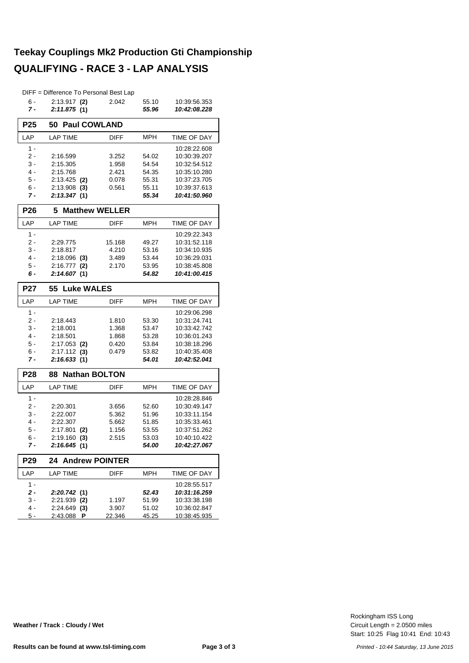#### **Teekay Couplings Mk2 Production Gti Championship QUALIFYING - RACE 3 - LAP ANALYSIS**

|                 | DIFF = Difference To Personal Best Lap |               |            |              |  |  |  |  |  |
|-----------------|----------------------------------------|---------------|------------|--------------|--|--|--|--|--|
| 6 -             | $2:13.917$ (2)                         | 2.042         | 55.10      | 10:39:56.353 |  |  |  |  |  |
| 7 -             | 2:11.875(1)                            |               | 55.96      | 10:42:08.228 |  |  |  |  |  |
| P <sub>25</sub> | <b>Paul COWLAND</b><br>50              |               |            |              |  |  |  |  |  |
| LAP             | <b>LAP TIME</b>                        | <b>DIFF</b>   | MPH        | TIME OF DAY  |  |  |  |  |  |
| 1 -             |                                        |               |            | 10:28:22.608 |  |  |  |  |  |
| 2 -             | 2:16.599                               | 3.252         | 54.02      | 10:30:39.207 |  |  |  |  |  |
| 3 -             | 2:15.305                               | 1.958         | 54.54      | 10:32:54.512 |  |  |  |  |  |
| 4 -             | 2:15.768                               | 2.421         | 54.35      | 10:35:10.280 |  |  |  |  |  |
| 5 -             | $2:13.425$ (2)                         | 0.078         | 55.31      | 10:37:23.705 |  |  |  |  |  |
| 6 -             | $2:13.908$ (3)                         | 0.561         | 55.11      | 10:39:37.613 |  |  |  |  |  |
| 7 -             | 2:13.347(1)                            |               | 55.34      | 10:41:50.960 |  |  |  |  |  |
| <b>P26</b>      | <b>Matthew WELLER</b><br>5             |               |            |              |  |  |  |  |  |
| LAP             | <b>LAP TIME</b>                        | <b>DIFF</b>   | <b>MPH</b> | TIME OF DAY  |  |  |  |  |  |
| $1 -$           |                                        |               |            | 10:29:22.343 |  |  |  |  |  |
| 2 -             | 2:29.775                               | 15.168        | 49.27      | 10:31:52.118 |  |  |  |  |  |
| 3 -             | 2:18.817                               | 4.210         | 53.16      | 10:34:10.935 |  |  |  |  |  |
| 4 -             | $2:18.096$ (3)                         | 3.489         | 53.44      | 10:36:29.031 |  |  |  |  |  |
| $5 -$           | $2:16.777$ (2)                         | 2.170         | 53.95      | 10:38:45.808 |  |  |  |  |  |
| 6 -             | 2:14.607(1)                            |               | 54.82      | 10:41:00.415 |  |  |  |  |  |
| <b>P27</b>      | <b>Luke WALES</b><br>55                |               |            |              |  |  |  |  |  |
| LAP             | <b>LAP TIME</b>                        | <b>DIFF</b>   | <b>MPH</b> | TIME OF DAY  |  |  |  |  |  |
| 1 -             |                                        |               |            | 10:29:06.298 |  |  |  |  |  |
| 2 -             | 2:18.443                               | 1.810         | 53.30      | 10:31:24.741 |  |  |  |  |  |
| 3 -             | 2:18.001                               | 1.368         | 53.47      | 10:33:42.742 |  |  |  |  |  |
| 4 -             | 2:18.501                               | 1.868         | 53.28      | 10:36:01.243 |  |  |  |  |  |
| 5 -             | $2:17.053$ (2)                         | 0.420         | 53.84      | 10:38:18.296 |  |  |  |  |  |
| 6 -             | $2:17.112$ (3)                         | 0.479         | 53.82      | 10:40:35.408 |  |  |  |  |  |
| 7 -             | 2:16.633(1)                            |               | 54.01      | 10:42:52.041 |  |  |  |  |  |
| <b>P28</b>      | <b>Nathan BOLTON</b><br>88             |               |            |              |  |  |  |  |  |
| LAP             | <b>LAP TIME</b>                        | <b>DIFF</b>   | <b>MPH</b> | TIME OF DAY  |  |  |  |  |  |
| $1 -$           |                                        |               |            | 10:28:28.846 |  |  |  |  |  |
| 2 -             | 2:20.301                               | 3.656         | 52.60      | 10:30:49.147 |  |  |  |  |  |
| 3 -             | 2:22.007                               | 5.362         | 51.96      | 10:33:11.154 |  |  |  |  |  |
| 4 -             | 2:22.307                               | 5.662         | 51.85      | 10:35:33.461 |  |  |  |  |  |
| 5 -             | 2:17.801<br>(2)                        | 1.156         | 53.55      | 10:37:51.262 |  |  |  |  |  |
| 6 -             | $2:19.160$ (3)                         | 2.515         | 53.03      | 10:40:10.422 |  |  |  |  |  |
| 7 -             | 2:16.645(1)                            |               | 54.00      | 10:42:27.067 |  |  |  |  |  |
| P29             | 24<br><b>Andrew POINTER</b>            |               |            |              |  |  |  |  |  |
| LAP             | <b>LAP TIME</b>                        | DIFF          | MPH        | TIME OF DAY  |  |  |  |  |  |
| $1 -$           |                                        |               |            | 10:28:55.517 |  |  |  |  |  |
| 2 -             | 2:20.742 (1)                           |               | 52.43      | 10:31:16.259 |  |  |  |  |  |
| 3 -             | $2:21.939$ (2)                         | 1.197         | 51.99      | 10:33:38.198 |  |  |  |  |  |
| 4 -             | $2:24.649$ (3)                         | 3.907         | 51.02      | 10:36:02.847 |  |  |  |  |  |
| $5 -$           | 2:43.088 P                             | <u>22.346</u> | 45.25      | 10:38:45.935 |  |  |  |  |  |

Start: 10:25 Flag 10:41 End: 10:43 Circuit Length = 2.0500 miles Rockingham ISS Long

**Weather / Track : Cloudy / Wet**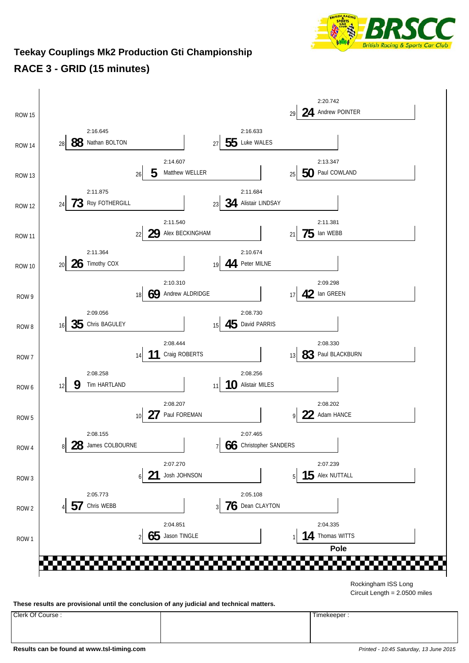

#### **Teekay Couplings Mk2 Production Gti Championship RACE 3 - GRID (15 minutes)**



Circuit Length = 2.0500 miles

**These results are provisional until the conclusion of any judicial and technical matters.**

Clerk Of Course : Timekeeper :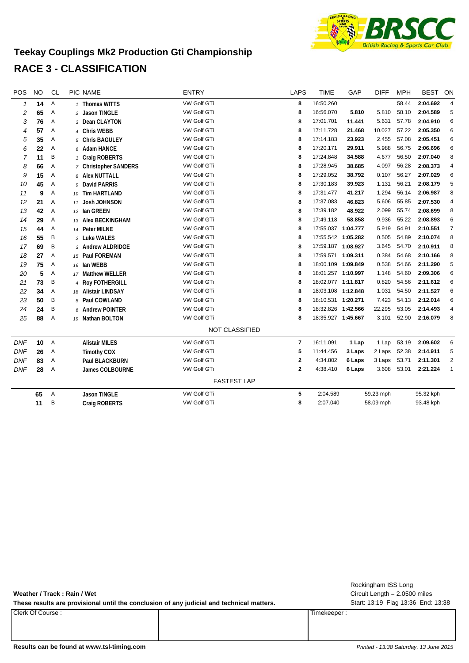

#### **Teekay Couplings Mk2 Production Gti Championship RACE 3 - CLASSIFICATION**

| POS          | <b>NO</b>       | <b>CL</b>      | PIC NAME              | <b>ENTRY</b>          | <b>LAPS</b>    | <b>TIME</b>        | GAP    | <b>DIFF</b> | <b>MPH</b> | <b>BEST</b> | ON                      |
|--------------|-----------------|----------------|-----------------------|-----------------------|----------------|--------------------|--------|-------------|------------|-------------|-------------------------|
| $\mathbf{1}$ | 14              | Α              | 1 Thomas WITTS        | VW Golf GTi           | 8              | 16:50.260          |        |             | 58.44      | 2:04.692    | $\overline{\mathbf{4}}$ |
| 2            | 65              | Α              | 2 Jason TINGLE        | <b>VW Golf GTi</b>    | 8              | 16:56.070          | 5.810  | 5.810       | 58.10      | 2:04.589    | 5                       |
| 3            | 76              | Α              | 3 Dean CLAYTON        | <b>VW Golf GTi</b>    | 8              | 17:01.701          | 11.441 | 5.631       | 57.78      | 2:04.910    | 6                       |
| 4            | 57              | Α              | 4 Chris WEBB          | <b>VW Golf GTi</b>    | 8              | 17:11.728          | 21.468 | 10.027      | 57.22      | 2:05.350    | 6                       |
| 5            | 35              | Α              | 5 Chris BAGULEY       | <b>VW Golf GTi</b>    | 8              | 17:14.183          | 23.923 | 2.455       | 57.08      | 2:05.451    | 6                       |
| 6            | 22              | Α              | 6 Adam HANCE          | <b>VW Golf GTi</b>    | 8              | 17:20.171          | 29.911 | 5.988       | 56.75      | 2:06.696    | 6                       |
| 7            | 11              | B              | 1 Craig ROBERTS       | <b>VW Golf GTi</b>    | 8              | 17:24.848          | 34.588 | 4.677       | 56.50      | 2:07.040    | 8                       |
| 8            | 66              | Α              | 7 Christopher SANDERS | VW Golf GTi           | 8              | 17:28.945          | 38.685 | 4.097       | 56.28      | 2:08.373    | 4                       |
| 9            | 15              | Α              | 8 Alex NUTTALL        | VW Golf GTi           | 8              | 17:29.052          | 38.792 | 0.107       | 56.27      | 2:07.029    | 6                       |
| 10           | 45              | Α              | 9 David PARRIS        | VW Golf GTi           | 8              | 17:30.183          | 39.923 | 1.131       | 56.21      | 2:08.179    | 5                       |
| 11           | 9               | Α              | 10 Tim HARTLAND       | <b>VW Golf GTi</b>    | 8              | 17:31.477          | 41.217 | 1.294       | 56.14      | 2:06.987    | 8                       |
| 12           | 21              | Α              | 11 Josh JOHNSON       | <b>VW Golf GTi</b>    | 8              | 17:37.083          | 46.823 | 5.606       | 55.85      | 2:07.530    | 4                       |
| 13           | 42              | Α              | 12 Ian GREEN          | VW Golf GTi           | 8              | 17:39.182          | 48.922 | 2.099       | 55.74      | 2:08.699    | 8                       |
| 14           | 29              | Α              | 13 Alex BECKINGHAM    | VW Golf GTi           | 8              | 17:49.118          | 58.858 | 9.936       | 55.22      | 2:08.893    | 6                       |
| 15           | 44              | Α              | 14 Peter MILNE        | <b>VW Golf GTi</b>    | 8              | 17:55.037 1:04.777 |        | 5.919       | 54.91      | 2:10.551    | $\overline{7}$          |
| 16           | 55              | B              | 2 Luke WALES          | <b>VW Golf GTI</b>    | 8              | 17:55.542 1:05.282 |        | 0.505       | 54.89      | 2:10.074    | 8                       |
| 17           | 69              | B              | 3 Andrew ALDRIDGE     | <b>VW Golf GTi</b>    | 8              | 17:59.187 1:08.927 |        | 3.645       | 54.70      | 2:10.911    | 8                       |
| 18           | 27              | Α              | 15 Paul FOREMAN       | <b>VW Golf GTi</b>    | 8              | 17:59.571 1:09.311 |        | 0.384       | 54.68      | 2:10.166    | 8                       |
| 19           | 75              | Α              | 16 Ian WEBB           | <b>VW Golf GTi</b>    | 8              | 18:00.109 1:09.849 |        | 0.538       | 54.66      | 2:11.290    | 5                       |
| 20           | 5               | Α              | 17 Matthew WELLER     | <b>VW Golf GTi</b>    | 8              | 18:01.257 1:10.997 |        | 1.148       | 54.60      | 2:09.306    | 6                       |
| 21           | 73              | B              | 4 Roy FOTHERGILL      | <b>VW Golf GTi</b>    | 8              | 18:02.077 1:11.817 |        | 0.820       | 54.56      | 2:11.612    | 6                       |
| 22           | 34              | Α              | 18 Alistair LINDSAY   | <b>VW Golf GTi</b>    | 8              | 18:03.108 1:12.848 |        | 1.031       | 54.50      | 2:11.527    | 6                       |
| 23           | 50              | B              | 5 Paul COWLAND        | VW Golf GTi           | 8              | 18:10.531 1:20.271 |        | 7.423       | 54.13      | 2:12.014    | 6                       |
| 24           | 24              | B              | 6 Andrew POINTER      | VW Golf GTi           | 8              | 18:32.826 1:42.566 |        | 22.295      | 53.05      | 2:14.493    | 4                       |
| 25           | 88              | Α              | 19 Nathan BOLTON      | VW Golf GTi           | 8              | 18:35.927 1:45.667 |        | 3.101       | 52.90      | 2:16.079    | 8                       |
|              |                 |                |                       | <b>NOT CLASSIFIED</b> |                |                    |        |             |            |             |                         |
| <b>DNF</b>   | 10 <sup>°</sup> | $\overline{A}$ | <b>Alistair MILES</b> | VW Golf GTi           | $\overline{7}$ | 16:11.091          | 1 Lap  | 1 Lap       | 53.19      | 2:09.602    | 6                       |
| <b>DNF</b>   | 26              | Α              | <b>Timothy COX</b>    | <b>VW Golf GTi</b>    | 5              | 11:44.456          | 3 Laps | 2 Laps      | 52.38      | 2:14.911    | 5                       |
| <b>DNF</b>   | 83              | Α              | <b>Paul BLACKBURN</b> | <b>VW Golf GTi</b>    | $\mathbf{2}$   | 4:34.802           | 6 Laps | 3 Laps      | 53.71      | 2:11.301    | 2                       |
| <b>DNF</b>   | 28              | A              | James COLBOURNE       | <b>VW Golf GTi</b>    | $\overline{2}$ | 4:38.410           | 6 Laps | 3.608       | 53.01      | 2:21.224    | $\mathbf{1}$            |
|              |                 |                |                       | <b>FASTEST LAP</b>    |                |                    |        |             |            |             |                         |
|              | 65              | Α              | <b>Jason TINGLE</b>   | VW Golf GTi           | 5              | 2:04.589           |        | 59.23 mph   |            | 95.32 kph   |                         |
|              | 11              | B              | <b>Craig ROBERTS</b>  | VW Golf GTi           | 8              | 2:07.040           |        | 58.09 mph   |            | 93.48 kph   |                         |
|              |                 |                |                       |                       |                |                    |        |             |            |             |                         |

**Weather / Track : Rain / Wet**

These results are provisional until the conclusion of any judicial and technical matters. Start: 13:19 Flag 13:36 End: 13:38

Clerk Of Course : Timekeeper :

Circuit Length = 2.0500 miles Rockingham ISS Long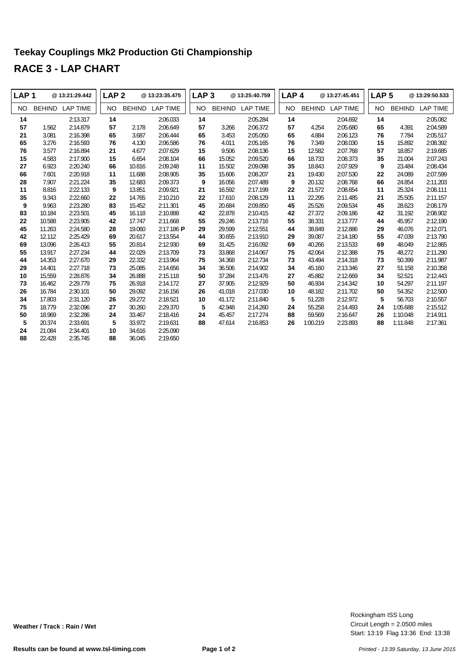#### **Teekay Couplings Mk2 Production Gti Championship RACE 3 - LAP CHART**

| LAP <sub>1</sub> |               | @13:21:29.442   | LAP <sub>2</sub> |               | @13:23:35.475   | LAP <sub>3</sub> |               | @13:25:40.759 | LAP <sub>4</sub> |               | @13:27:45.451   | LAP <sub>5</sub> |               | @13:29:50.533   |
|------------------|---------------|-----------------|------------------|---------------|-----------------|------------------|---------------|---------------|------------------|---------------|-----------------|------------------|---------------|-----------------|
| NO.              | <b>BEHIND</b> | <b>LAP TIME</b> | <b>NO</b>        | <b>BEHIND</b> | <b>LAP TIME</b> | <b>NO</b>        | <b>BEHIND</b> | LAP TIME      | <b>NO</b>        | <b>BEHIND</b> | <b>LAP TIME</b> | NO.              | <b>BEHIND</b> | <b>LAP TIME</b> |
| 14               |               | 2:13.317        | 14               |               | 2:06.033        | 14               |               | 2:05.284      | 14               |               | 2:04.692        | 14               |               | 2:05.082        |
| 57               | 1.562         | 2:14.879        | 57               | 2.178         | 2:06.649        | 57               | 3.266         | 2:06.372      | 57               | 4.254         | 2:05.680        | 65               | 4.391         | 2:04.589        |
| 21               | 3.081         | 2:16.398        | 65               | 3.687         | 2:06.444        | 65               | 3.453         | 2:05.050      | 65               | 4.884         | 2:06.123        | 76               | 7.784         | 2:05.517        |
| 65               | 3.276         | 2:16.593        | 76               | 4.130         | 2:06.586        | 76               | 4.011         | 2:05.165      | 76               | 7.349         | 2:08.030        | 15               | 15.892        | 2:08.392        |
| 76               | 3.577         | 2:16.894        | 21               | 4.677         | 2:07.629        | 15               | 9.506         | 2:08.136      | 15               | 12.582        | 2:07.768        | 57               | 18.857        | 2:19.685        |
| 15               | 4.583         | 2:17.900        | 15               | 6.654         | 2:08.104        | 66               | 15.052        | 2:09.520      | 66               | 18.733        | 2:08.373        | 35               | 21.004        | 2:07.243        |
| 27               | 6.923         | 2:20.240        | 66               | 10.816        | 2:09.248        | 11               | 15.502        | 2:09.098      | 35               | 18.843        | 2:07.929        | 9                | 23.484        | 2:08.434        |
| 66               | 7.601         | 2:20.918        | 11               | 11.688        | 2:08.905        | 35               | 15.606        | 2:08.207      | 21               | 19.430        | 2:07.530        | 22               | 24.089        | 2:07.599        |
| 28               | 7.907         | 2:21.224        | 35               | 12.683        | 2:09.373        | 9                | 16.056        | 2:07.489      | 9                | 20.132        | 2:08.768        | 66               | 24.854        | 2:11.203        |
| 11               | 8.816         | 2:22.133        | 9                | 13.851        | 2:09.921        | 21               | 16.592        | 2:17.199      | 22               | 21.572        | 2:08.654        | 11               | 25.324        | 2:08.111        |
| 35               | 9.343         | 2:22.660        | 22               | 14.765        | 2:10.210        | 22               | 17.610        | 2:08.129      | 11               | 22.295        | 2:11.485        | 21               | 25.505        | 2:11.157        |
| 9                | 9.963         | 2:23.280        | 83               | 15.452        | 2:11.301        | 45               | 20.684        | 2:09.850      | 45               | 25.526        | 2:09.534        | 45               | 28.623        | 2:08.179        |
| 83               | 10.184        | 2:23.501        | 45               | 16.118        | 2:10.888        | 42               | 22.878        | 2:10.415      | 42               | 27.372        | 2:09.186        | 42               | 31.192        | 2:08.902        |
| 22               | 10.588        | 2:23.905        | 42               | 17.747        | 2:11.668        | 55               | 29.246        | 2:13.716      | 55               | 38.331        | 2:13.777        | 44               | 45.957        | 2:12.190        |
| 45               | 11.263        | 2:24.580        | 28               | 19.060        | $2:17.186$ P    | 29               | 29.599        | 2:12.551      | 44               | 38.849        | 2:12.886        | 29               | 46.076        | 2:12.071        |
| 42               | 12.112        | 2:25.429        | 69               | 20.617        | 2:13.554        | 44               | 30.655        | 2:13.910      | 29               | 39.087        | 2:14.180        | 55               | 47.039        | 2:13.790        |
| 69               | 13.096        | 2:26.413        | 55               | 20.814        | 2:12.930        | 69               | 31.425        | 2:16.092      | 69               | 40.266        | 2:13.533        | 69               | 48.049        | 2:12.865        |
| 55               | 13.917        | 2:27.234        | 44               | 22.029        | 2:13.709        | 73               | 33.868        | 2:14.067      | 75               | 42.064        | 2:12.388        | 75               | 48.272        | 2:11.290        |
| 44               | 14.353        | 2:27.670        | 29               | 22.332        | 2:13.964        | 75               | 34.368        | 2:12.734      | 73               | 43.494        | 2:14.318        | 73               | 50.399        | 2:11.987        |
| 29               | 14.401        | 2:27.718        | 73               | 25.085        | 2:14.656        | 34               | 36.506        | 2:14.902      | 34               | 45.160        | 2:13.346        | 27               | 51.158        | 2:10.358        |
| 10               | 15.559        | 2:28.876        | 34               | 26.888        | 2:15.118        | 50               | 37.284        | 2:13.476      | 27               | 45.882        | 2:12.669        | 34               | 52.521        | 2:12.443        |
| 73               | 16.462        | 2:29.779        | 75               | 26.918        | 2:14.172        | 27               | 37.905        | 2:12.929      | 50               | 46.934        | 2:14.342        | 10               | 54.297        | 2:11.197        |
| 26               | 16.784        | 2:30.101        | 50               | 29.092        | 2:16.156        | 26               | 41.018        | 2:17.030      | 10               | 48.182        | 2:11.702        | 50               | 54.352        | 2:12.500        |
| 34               | 17.803        | 2:31.120        | 26               | 29.272        | 2:18.521        | 10               | 41.172        | 2:11.840      | 5                | 51.228        | 2:12.972        | 5                | 56.703        | 2:10.557        |
| 75               | 18.779        | 2:32.096        | 27               | 30.260        | 2:29.370        | 5                | 42.948        | 2:14.260      | 24               | 55.258        | 2:14.493        | 24               | 1:05.688      | 2:15.512        |
| 50               | 18.969        | 2:32.286        | 24               | 33.467        | 2:18.416        | 24               | 45.457        | 2:17.274      | 88               | 59.569        | 2:16.647        | 26               | 1:10.048      | 2:14.911        |
| 5                | 20.374        | 2:33.691        | 5                | 33.972        | 2:19.631        | 88               | 47.614        | 2:16.853      | 26               | 1:00.219      | 2:23.893        | 88               | 1:11.848      | 2:17.361        |
| 24               | 21.084        | 2:34.401        | 10               | 34.616        | 2:25.090        |                  |               |               |                  |               |                 |                  |               |                 |
| 88               | 22.428        | 2:35.745        | 88               | 36.045        | 2:19.650        |                  |               |               |                  |               |                 |                  |               |                 |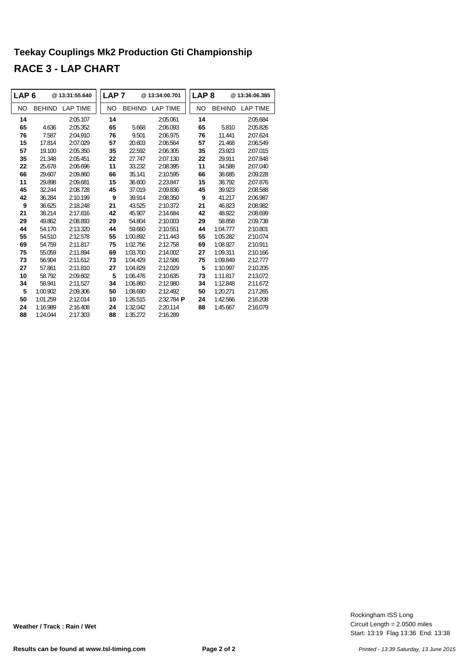#### **Teekay Couplings Mk2 Production Gti Championship RACE 3 - LAP CHART**

|           | LAP 6<br>@13:31:55.640 |                 | LAP <sub>7</sub> |               | @13:34:00.701       | LAP <sub>8</sub> |               | @13:36:06.385   |  |
|-----------|------------------------|-----------------|------------------|---------------|---------------------|------------------|---------------|-----------------|--|
| <b>NO</b> | <b>BEHIND</b>          | <b>LAP TIME</b> | NO.              | <b>BEHIND</b> | <b>LAP TIME</b>     | <b>NO</b>        | <b>BEHIND</b> | <b>LAP TIME</b> |  |
| 14        |                        | 2:05.107        | 14               |               | 2:05.061            | 14               |               | 2:05.684        |  |
| 65        | 4.636                  | 2:05.352        | 65               | 5.668         | 2:06.093            | 65               | 5.810         | 2:05.826        |  |
| 76        | 7.587                  | 2:04.910        | 76               | 9.501         | 2:06.975            | 76               | 11.441        | 2:07.624        |  |
| 15        | 17.814                 | 2:07.029        | 57               | 20.603        | 2:06.564            | 57               | 21.468        | 2:06.549        |  |
| 57        | 19.100                 | 2:05.350        | 35               | 22.592        | 2:06.305            | 35               | 23.923        | 2:07.015        |  |
| 35        | 21.348                 | 2:05.451        | 22               | 27.747        | 2:07.130            | 22               | 29.911        | 2:07.848        |  |
| 22        | 25.678                 | 2:06.696        | 11               | 33.232        | 2:08.395            | 11               | 34.588        | 2:07.040        |  |
| 66        | 29.607                 | 2:09.860        | 66               | 35.141        | 2:10.595            | 66               | 38.685        | 2:09.228        |  |
| 11        | 29.898                 | 2:09.681        | 15               | 36.600        | 2:23.847            | 15               | 38.792        | 2:07.876        |  |
| 45        | 32.244                 | 2:08.728        | 45               | 37.019        | 2:09.836            | 45               | 39.923        | 2:08.588        |  |
| 42        | 36.284                 | 2:10.199        | 9                | 39.914        | 2:08.350            | 9                | 41.217        | 2:06.987        |  |
| 9         | 36.625                 | 2:18.248        | 21               | 43.525        | 2:10.372            | 21               | 46.823        | 2:08.982        |  |
| 21        | 38.214                 | 2:17.816        | 42               | 45.907        | 2:14.684            | 42               | 48.922        | 2:08.699        |  |
| 29        | 49.862                 | 2:08.893        | 29               | 54.804        | 2:10.003            | 29               | 58.858        | 2:09.738        |  |
| 44        | 54.170                 | 2:13.320        | 44               | 59.660        | 2:10.551            | 44               | 1:04.777      | 2:10.801        |  |
| 55        | 54.510                 | 2:12.578        | 55               | 1:00.892      | 2:11.443            | 55               | 1:05.282      | 2:10.074        |  |
| 69        | 54.759                 | 2:11.817        | 75               | 1:02.756      | 2:12.758            | 69               | 1:08.927      | 2:10.911        |  |
| 75        | 55.059                 | 2:11.894        | 69               | 1:03.700      | 2:14.002            | 27               | 1:09.311      | 2:10.166        |  |
| 73        | 56.904                 | 2:11.612        | 73               | 1:04.429      | 2:12.586            | 75               | 1:09.849      | 2:12.777        |  |
| 27        | 57.861                 | 2:11.810        | 27               | 1:04.829      | 2:12.029            | 5                | 1:10.997      | 2:10.205        |  |
| 10        | 58.792                 | 2:09.602        | 5                | 1:06.476      | 2:10.635            | 73               | 1:11.817      | 2:13.072        |  |
| 34        | 58.941                 | 2:11.527        | 34               | 1:06.860      | 2:12.980            | 34               | 1:12.848      | 2:11.672        |  |
| 5         | 1:00.902               | 2:09.306        | 50               | 1:08.690      | 2:12.492            | 50               | 1:20.271      | 2:17.265        |  |
| 50        | 1:01.259               | 2:12.014        | 10               | 1:26.515      | $2:32.784$ <b>P</b> | 24               | 1:42.566      | 2:16.208        |  |
| 24        | 1:16.989               | 2:16.408        | 24               | 1:32.042      | 2:20.114            | 88               | 1:45.667      | 2:16.079        |  |
| 88        | 1:24.044               | 2:17.303        | 88               | 1:35.272      | 2:16.289            |                  |               |                 |  |

Start: 13:19 Flag 13:36 End: 13:38 Circuit Length = 2.0500 miles Rockingham ISS Long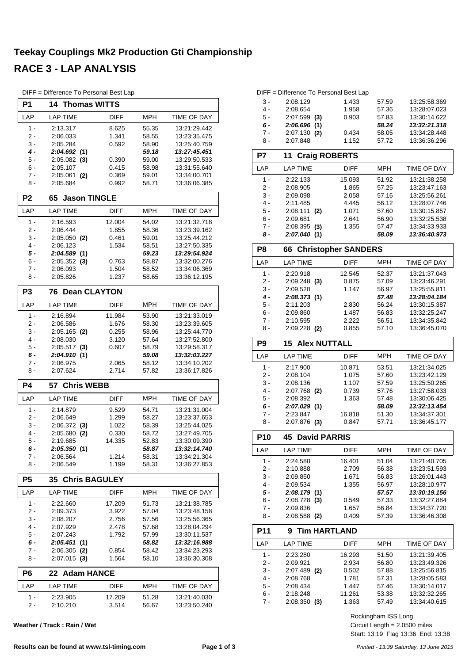#### **Teekay Couplings Mk2 Production Gti Championship RACE 3 - LAP ANALYSIS**

DIFF = Difference To Personal Best Lap

| P1             | 14.<br><b>Thomas WITTS</b>         |                |                |                              |
|----------------|------------------------------------|----------------|----------------|------------------------------|
| LAP            | <b>LAP TIME</b>                    | DIFF           | <b>MPH</b>     | TIME OF DAY                  |
| $1 -$          | 2:13.317                           | 8.625          | 55.35          | 13:21:29.442                 |
| 2 -            | 2:06.033                           | 1.341          | 58.55          | 13:23:35.475                 |
| 3 -            | 2:05.284                           | 0.592          | 58.90          | 13:25:40.759                 |
| 4 -            | 2:04.692(1)                        |                | 59.18          | 13:27:45.451                 |
| 5 -            | 2:05.082<br>(3)                    | 0.390          | 59.00          | 13:29:50.533                 |
| $6 -$<br>$7 -$ | 2:05.107                           | 0.415          | 58.98          | 13:31:55.640                 |
| 8 -            | 2:05.061<br>(2)<br>2:05.684        | 0.369<br>0.992 | 59.01<br>58.71 | 13:34:00.701<br>13:36:06.385 |
|                | <b>Jason TINGLE</b>                |                |                |                              |
| P <sub>2</sub> | 65                                 |                |                |                              |
| LAP            | <b>LAP TIME</b>                    | <b>DIFF</b>    | <b>MPH</b>     | TIME OF DAY                  |
| 1 -            | 2:16.593                           | 12.004         | 54.02          | 13:21:32.718                 |
| 2 -<br>3 -     | 2:06.444                           | 1.855          | 58.36          | 13:23:39.162<br>13:25:44.212 |
| 4 -            | $2:05.050$ (2)<br>2:06.123         | 0.461<br>1.534 | 59.01<br>58.51 | 13:27:50.335                 |
| 5 -            | 2:04.589(1)                        |                | 59.23          | 13:29:54.924                 |
| $6 -$          | 2:05.352<br>(3)                    | 0.763          | 58.87          | 13:32:00.276                 |
| 7 -            | 2:06.093                           | 1.504          | 58.52          | 13:34:06.369                 |
| 8 -            | 2:05.826                           | 1.237          | 58.65          | 13:36:12.195                 |
| P3             | <b>Dean CLAYTON</b><br>76          |                |                |                              |
| LAP            | <b>LAP TIME</b>                    | <b>DIFF</b>    | <b>MPH</b>     | TIME OF DAY                  |
| $1 -$          | 2:16.894                           | 11.984         | 53.90          | 13:21:33.019                 |
| 2 -            | 2:06.586                           | 1.676          | 58.30          | 13:23:39.605                 |
| 3 -            | 2:05.165<br>(2)                    | 0.255          | 58.96          | 13:25:44.770                 |
| $4 -$          | 2:08.030                           | 3.120          | 57.64          | 13:27:52.800                 |
| 5 -            | 2:05.517<br>(3)                    | 0.607          | 58.79          | 13:29:58.317                 |
| 6 -            | 2:04.910<br>(1)                    |                | 59.08          | 13:32:03.227                 |
| 7 -<br>8 -     | 2:06.975<br>2:07.624               | 2.065<br>2.714 | 58.12<br>57.82 | 13:34:10.202<br>13:36:17.826 |
|                |                                    |                |                |                              |
| <b>P4</b>      | <b>Chris WEBB</b><br>57            |                |                |                              |
| LAP            | <b>LAP TIME</b>                    | DIFF           | <b>MPH</b>     | TIME OF DAY                  |
| $1 -$          | 2:14.879                           | 9.529          | 54.71          | 13:21:31.004                 |
| 2 -            |                                    |                |                |                              |
|                | 2:06.649                           | 1.299          | 58.27          | 13:23:37.653                 |
| 3 -            | $2:06.372$ (3)                     | 1.022          | 58.39          | 13:25:44.025                 |
| 4 -            | 2:05.680<br>(2)                    | 0.330          | 58.72          | 13:27:49.705                 |
| 5 -<br>6 -     | 2:19.685                           | 14.335         | 52.83<br>58.87 | 13:30:09.390<br>13:32:14.740 |
| $7 -$          | 2:05.350(1)<br>2:06.564            | 1.214          | 58.31          | 13:34:21.304                 |
| 8 -            | 2:06.549                           | 1.199          | 58.31          | 13:36:27.853                 |
| P <sub>5</sub> | <b>Chris BAGULEY</b><br>35         |                |                |                              |
| LAP            | <b>LAP TIME</b>                    | DIFF           | MPH            | TIME OF DAY                  |
| $1 -$          | 2:22.660                           | 17.209         | 51.73          | 13:21:38.785                 |
| 2 -            | 2:09.373                           | 3.922          | 57.04          | 13:23:48.158                 |
| 3 -            | 2:08.207                           | 2.756          | 57.56          | 13:25:56.365                 |
| $4 -$          | 2:07.929                           | 2.478          | 57.68          | 13:28:04.294                 |
| 5 -            | 2:07.243                           | 1.792          | 57.99          | 13:30:11.537                 |
| 6 -            | 2:05.451(1)                        |                | 58.82          | 13:32:16.988                 |
| 7 -<br>8 -     | 2:06.305<br>(2)<br>2:07.015<br>(3) | 0.854<br>1.564 | 58.42<br>58.10 | 13:34:23.293<br>13:36:30.308 |
| P6             | <b>Adam HANCE</b><br>22            |                |                |                              |
| LAP            | <b>LAP TIME</b>                    | DIFF           | MPH            | TIME OF DAY                  |
| 1 -            | 2:23.905                           | 17.209         | 51.28          | 13:21:40.030                 |

**Weather / Track : Rain / Wet**

| P7              | 11<br><b>Craig ROBERTS</b>       |             |            |                    |  |  |  |  |  |
|-----------------|----------------------------------|-------------|------------|--------------------|--|--|--|--|--|
| LAP             | <b>LAP TIME</b>                  | <b>DIFF</b> | <b>MPH</b> | <b>TIME OF DAY</b> |  |  |  |  |  |
| $1 -$           | 2:22.133                         | 15.093      | 51.92      | 13:21:38.258       |  |  |  |  |  |
| $2-$            | 2:08.905                         | 1.865       | 57.25      | 13:23:47.163       |  |  |  |  |  |
| 3 -             | 2:09.098                         | 2.058       | 57.16      | 13:25:56.261       |  |  |  |  |  |
| $4 -$           | 2:11.485                         | 4.445       | 56.12      | 13:28:07.746       |  |  |  |  |  |
| $5 -$           | 2:08.111<br>(2)                  | 1.071       | 57.60      | 13:30:15.857       |  |  |  |  |  |
| 6 -             | 2:09.681                         | 2.641       | 56.90      | 13:32:25.538       |  |  |  |  |  |
| $7 -$           | $2:08.395$ (3)                   | 1.355       | 57.47      | 13:34:33.933       |  |  |  |  |  |
| 8 -             | 2:07.040 (1)                     |             | 58.09      | 13:36:40.973       |  |  |  |  |  |
| P8              | <b>Christopher SANDERS</b><br>66 |             |            |                    |  |  |  |  |  |
| LAP             | <b>LAP TIME</b>                  | <b>DIFF</b> | <b>MPH</b> | <b>TIME OF DAY</b> |  |  |  |  |  |
| $1 -$           | 2:20.918                         | 12.545      | 52.37      | 13:21:37.043       |  |  |  |  |  |
| $2-$            | $2:09.248$ (3)                   | 0.875       | 57.09      | 13:23:46.291       |  |  |  |  |  |
| 3 -             | 2:09.520                         | 1.147       | 56.97      | 13:25:55.811       |  |  |  |  |  |
| $4 -$           | 2:08.373 (1)                     |             | 57.48      | 13:28:04.184       |  |  |  |  |  |
| $5 -$           | 2:11.203                         | 2.830       | 56.24      | 13:30:15.387       |  |  |  |  |  |
| $6 -$           | 2:09.860                         | 1.487       | 56.83      | 13:32:25.247       |  |  |  |  |  |
| 7 -             | 2:10.595                         | 2.222       | 56.51      | 13:34:35.842       |  |  |  |  |  |
| 8 -             | $2:09.228$ (2)                   | 0.855       | 57.10      | 13:36:45.070       |  |  |  |  |  |
| P9              | 15<br><b>Alex NUTTALL</b>        |             |            |                    |  |  |  |  |  |
| LAP             | <b>LAP TIME</b>                  | <b>DIFF</b> | <b>MPH</b> | <b>TIME OF DAY</b> |  |  |  |  |  |
| $1 -$           | 2:17.900                         | 10.871      | 53.51      | 13:21:34.025       |  |  |  |  |  |
| $2 -$           | 2:08.104                         | 1.075       | 57.60      | 13:23:42.129       |  |  |  |  |  |
| $3 -$           | 2:08.136                         | 1.107       | 57.59      | 13:25:50.265       |  |  |  |  |  |
| $4 -$           | 2:07.768<br>(2)                  | 0.739       | 57.76      | 13:27:58.033       |  |  |  |  |  |
| 5 -             | 2:08.392                         | 1.363       | 57.48      | 13:30:06.425       |  |  |  |  |  |
| 6 -             | 2:07.029(1)                      |             | 58.09      | 13:32:13.454       |  |  |  |  |  |
| $7 -$           | 2:23.847                         | 16.818      | 51.30      | 13:34:37.301       |  |  |  |  |  |
| 8 -             | $2:07.876$ (3)                   | 0.847       | 57.71      | 13:36:45.177       |  |  |  |  |  |
| P <sub>10</sub> | 45<br><b>David PARRIS</b>        |             |            |                    |  |  |  |  |  |
| LAP             | <b>LAP TIME</b>                  | <b>DIFF</b> | MPH        | <b>TIME OF DAY</b> |  |  |  |  |  |
| $1 -$           | 2:24.580                         | 16.401      | 51.04      | 13:21:40.705       |  |  |  |  |  |
| $2-$            | 2:10.888                         | 2.709       | 56.38      | 13:23:51.593       |  |  |  |  |  |
| 3 -             | 2:09.850                         | 1.671       | 56.83      | 13:26:01.443       |  |  |  |  |  |
| $4 -$           | 2:09.534                         | 1.355       | 56.97      | 13:28:10.977       |  |  |  |  |  |
| 5 -             | 2:08.179(1)                      |             | 57.57      | 13:30:19.156       |  |  |  |  |  |
| $6 -$           | 2:08.728<br>(3)                  | 0.549       | 57.33      | 13:32:27.884       |  |  |  |  |  |
| $7 -$           | 2:09.836                         | 1.657       | 56.84      | 13:34:37.720       |  |  |  |  |  |
| 8 -             | 2:08.588<br>(2)                  | 0.409       | 57.39      | 13:36:46.308       |  |  |  |  |  |

DIFF = Difference To Personal Best Lap

5 - 2:07.599 **(3)**<br>6 - 2:06.696 **(1)** 

**2:07.130 (2)** 

3 - 2:08.129 1.433 57.59 13:25:58.369<br>4 - 2:08.654 1.958 57.36 13:28:07.023 4 - 2:08.654 1.958 57.36 13:28:07.023<br>5 - 2:07.599 (3) 0.903 57.83 13:30:14.622

*6 - 2:06.696 13:32:21.318* **(1)** *58.24*

8 - 2:07.848 1.152 57.72 13:36:36.296

| <b>P11</b> | 9 Tim HARTLAND  |             |            |              |
|------------|-----------------|-------------|------------|--------------|
| LAP        | <b>LAP TIME</b> | <b>DIFF</b> | <b>MPH</b> | TIME OF DAY  |
| 1 -        | 2:23.280        | 16.293      | 51.50      | 13:21:39.405 |
| 2 -        | 2:09.921        | 2.934       | 56.80      | 13:23:49.326 |
| $3 -$      | 2:07.489<br>(2) | 0.502       | 57.88      | 13:25:56.815 |
| 4 -        | 2:08.768        | 1.781       | 57.31      | 13:28:05.583 |
| $5 -$      | 2:08.434        | 1.447       | 57.46      | 13:30:14.017 |
| 6 -        | 2:18.248        | 11.261      | 53.38      | 13:32:32.265 |
| 7 -        | 2:08.350<br>(3) | 1.363       | 57.49      | 13:34:40.615 |

Start: 13:19 Flag 13:36 End: 13:38 Circuit Length = 2.0500 miles Rockingham ISS Long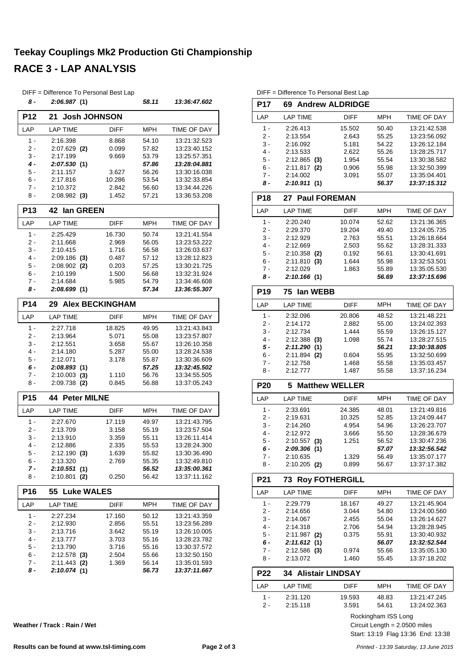#### **Teekay Couplings Mk2 Production Gti Championship RACE 3 - LAP ANALYSIS**

|                 | DIFF = Difference To Personal Best Lap |             |            |              |
|-----------------|----------------------------------------|-------------|------------|--------------|
| 8 -             | 2:06.987(1)                            |             | 58.11      | 13:36:47.602 |
| P <sub>12</sub> | <b>Josh JOHNSON</b><br>21              |             |            |              |
| LAP             | <b>LAP TIME</b>                        | <b>DIFF</b> | <b>MPH</b> | TIME OF DAY  |
| 1 -             | 2:16.398                               | 8.868       | 54.10      | 13:21:32.523 |
| 2 -             | $2:07.629$ (2)                         | 0.099       | 57.82      | 13:23:40.152 |
| 3 -             | 2:17.199                               | 9.669       | 53.79      | 13:25:57.351 |
| $4 -$           | 2:07.530 (1)                           |             | 57.86      | 13:28:04.881 |
| 5 -             | 2:11.157                               | 3.627       | 56.26      | 13:30:16.038 |
| 6 -             | 2:17.816                               | 10.286      | 53.54      | 13:32:33.854 |
| 7 -             | 2:10.372                               | 2.842       | 56.60      | 13:34:44.226 |
| 8 -             | $2:08.982$ (3)                         | 1.452       | 57.21      | 13:36:53.208 |
| <b>P13</b>      | 42 lan GREEN                           |             |            |              |
| LAP             | <b>LAP TIME</b>                        | <b>DIFF</b> | <b>MPH</b> | TIME OF DAY  |
| 1 -             | 2:25.429                               | 16.730      | 50.74      | 13:21:41.554 |
| $2 -$           | 2:11.668                               | 2.969       | 56.05      | 13:23:53.222 |
| 3 -             | 2:10.415                               | 1.716       | 56.58      | 13:26:03.637 |
| $4 -$           | $2:09.186$ (3)                         | 0.487       | 57.12      | 13:28:12.823 |
| 5 -             | 2:08.902<br>(2)                        | 0.203       | 57.25      | 13:30:21.725 |
| 6 -             | 2:10.199                               | 1.500       | 56.68      | 13:32:31.924 |
| $7 -$           | 2:14.684                               | 5.985       | 54.79      | 13:34:46.608 |
| 8 -             | 2:08.699(1)                            |             | 57.34      | 13:36:55.307 |
| P <sub>14</sub> | <b>29 Alex BECKINGHAM</b>              |             |            |              |
| LAP             | <b>LAP TIME</b>                        | <b>DIFF</b> | <b>MPH</b> | TIME OF DAY  |
| $1 -$           | 2:27.718                               | 18.825      | 49.95      | 13:21:43.843 |
| 2 -             | 2:13.964                               | 5.071       | 55.08      | 13:23:57.807 |
| 3 -             | 2:12.551                               | 3.658       | 55.67      | 13:26:10.358 |
| $4 -$           | 2:14.180                               | 5.287       | 55.00      | 13:28:24.538 |
| 5 -             | 2:12.071                               | 3.178       | 55.87      | 13:30:36.609 |
| 6 -             | 2:08.893(1)                            |             | 57.25      | 13:32:45.502 |
| 7 -             | 2:10.003<br>(3)                        | 1.110       | 56.76      | 13:34:55.505 |
| 8 -             | $2:09.738$ (2)                         | 0.845       | 56.88      | 13:37:05.243 |
| P <sub>15</sub> | <b>Peter MILNE</b><br>44               |             |            |              |
| LAP             | <b>LAP TIME</b>                        | <b>DIFF</b> | <b>MPH</b> | TIME OF DAY  |
| 1 -             | 2:27.670                               | 17.119      | 49.97      | 13:21:43.795 |
| 2 -             | 2:13.709                               | 3.158       | 55.19      | 13:23:57.504 |
| 3 -             | 2:13.910                               | 3.359       | 55.11      | 13:26:11.414 |
| 4 -             | 2:12.886                               | 2.335       | 55.53      | 13:28:24.300 |
| 5 -             | 2:12.190(3)                            | 1.639       | 55.82      | 13:30:36.490 |
| 6 -             | 2:13.320                               | 2.769       | 55.35      | 13:32:49.810 |
| $7 -$           | 2:10.551(1)                            |             | 56.52      | 13:35:00.361 |
| 8 -             | 2:10.801<br>(2)                        | 0.250       | 56.42      | 13:37:11.162 |
| P <sub>16</sub> | 55<br><b>Luke WALES</b>                |             |            |              |
| LAP             | <b>LAP TIME</b>                        | <b>DIFF</b> | MPH        | TIME OF DAY  |
| 1 -             | 2:27.234                               | 17.160      | 50.12      | 13:21:43.359 |
| $2 -$           | 2:12.930                               | 2.856       | 55.51      | 13:23:56.289 |
| 3 -             | 2:13.716                               | 3.642       | 55.19      | 13:26:10.005 |
| 4 -             | 2:13.777                               | 3.703       | 55.16      | 13:28:23.782 |
| 5 -             | 2:13.790                               | 3.716       | 55.16      | 13:30:37.572 |
| 6 -             | $2:12.578$ (3)                         | 2.504       | 55.66      | 13:32:50.150 |
| $7 -$           | 2:11.443<br>(2)                        | 1.369       | 56.14      | 13:35:01.593 |
| 8 -             | 2:10.074(1)                            |             | 56.73      | 13:37:11.667 |
|                 |                                        |             |            |              |

DIFF = Difference To Personal Best Lap **P17 69 Andrew ALDRIDGE** LAP LAP TIME DIFF MPH TIME OF DAY 1 - 2:26.413 15.502 13:21:42.538 50.40 2 - 2:13.554 2.643 13:23:56.092 55.25 3 - 2:16.092 5.181 54.22 13:26:12.184 4 - 2:13.533 2.622 55.26 13:28:25.717<br>52.582 55.54 13:30:38.582 5 - 2:12.865 1.954 13:30:38.582 **(3)** 55.54 6 - 2:11.817 0.906 13:32:50.399 **(2)** 55.98 7 - 2:14.002 3.091 13:35:04.401 55.07 *8 - 2:10.911 13:37:15.312* **(1)** *56.37* **P18 27 Paul FOREMAN** LAP LAP TIME DIFF MPH TIME OF DAY 1 2:20.240 10.074 52.62 13:21:36.365<br>2 2:29.370 19.204 49.40 13:24:05.735 2:29.370 19.204 49.40 13:24:05.735 3 - 2:12.929 2.763 55.51 13:26:18.664 4 - 2:12.669 2.503 13:28:31.333 55.62 5 - 2:10.358 (2) 0.192 56.61 13:30:41.691 6 - 2:11.810 1.644 13:32:53.501 **(3)** 55.98 7 - 2:12.029 1.863 55.89 13:35:05.530 *8 - 2:10.166 13:37:15.696* **(1)** *56.69* **P19 75 Ian WEBB** LAP LAP TIME DIFF MPH TIME OF DAY 1 - 2:32.096 20.806 13:21:48.221 48.52 2 - 2:14.172 2.882 55.00 13:24:02.393 3 - 2:12.734 1.444 55.59 13:26:15.127 4 - 2:12.388 1.098 13:28:27.515 **(3)** 55.74 *5 - 2:11.290 13:30:38.805* **(1)** *56.21* 6 - 2:11.894 0.604 13:32:50.699 **(2)** 55.95 7 - 2:12.758 1.468 13:35:03.457 55.58 8 - 2:12.777 1.487 55.58 13:37:16.234 **P20 5 Matthew WELLER** LAP LAP TIME DIFF MPH TIME OF DAY 1 - 2:33.691 24.385 48.01 13:21:49.816 2 - 2:19.631 10.325 13:24:09.447 52.85 3 - 2:14.260 4.954 13:26:23.707 54.96 4 - 2:12.972 3.666 13:28:36.679 55.50 5 - 2:10.557 1.251 13:30:47.236 **(3)** 56.52 *6 - 2:09.306 13:32:56.542* **(1)** *57.07* 7 - 2:10.635 1.329 56.49 13:35:07.177 8 - 2:10.205 (2) 0.899 56.67 13:37:17.382 **P21 73 Roy FOTHERGILL** LAP LAP TIME DIFF MPH TIME OF DAY 1 - 2:29.779 18.167 13:21:45.904 49.27 2 - 2:14.656 3.044 54.80 13:24:00.560 3 - 2:14.067 2.455 55.04 13:26:14.627 4 - 2:14.318 2.706 54.94 13:28:28.945 5 - 2:11.987 (2) 0.375 55.91 13:30:40.932 *6 - 2:11.612 13:32:52.544* **(1)** *56.07* 7 - 2:12.586 (3) 0.974 55.66 13:35:05.130 8 - 2:13.072 1.460 55.45 13:37:18.202 **P22 34 Alistair LINDSAY** LAP LAP TIME DIFF MPH TIME OF DAY 1 - 2:31.120 19.593 13:21:47.245 48.83 2 - 2:15.118 3.591 54.61 13:24:02.363

Rockingham ISS Long

Start: 13:19 Flag 13:36 End: 13:38 Circuit Length = 2.0500 miles

**Weather / Track : Rain / Wet**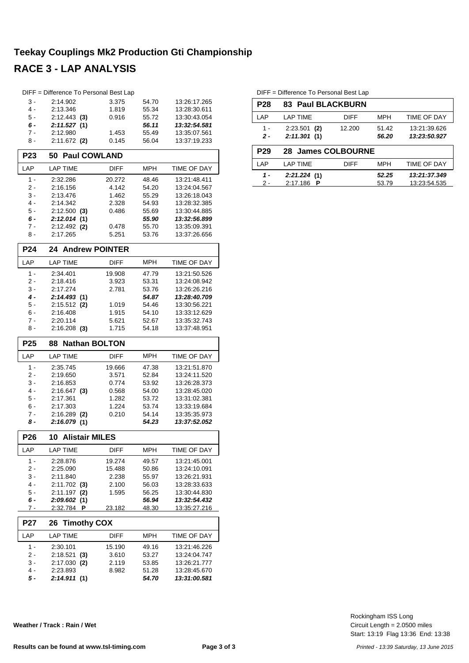#### **Teekay Couplings Mk2 Production Gti Championship**

### **RACE 3 - LAP ANALYSIS**

|                 | DIFF = Difference To Personal Best Lap |                  |                |                              |
|-----------------|----------------------------------------|------------------|----------------|------------------------------|
| 3 -             | 2:14.902                               | 3.375            | 54.70          | 13:26:17.265                 |
| $4 -$           | 2:13.346                               | 1.819            | 55.34          | 13:28:30.611                 |
| 5 -             | $2:12.443$ (3)                         | 0.916            | 55.72          | 13:30:43.054                 |
| 6 -             | 2:11.527(1)                            |                  | 56.11          | 13:32:54.581                 |
| 7 -             | 2:12.980                               | 1.453            | 55.49          | 13:35:07.561                 |
| 8 -             | $2:11.672$ (2)                         | 0.145            | 56.04          | 13:37:19.233                 |
| P23             | <b>Paul COWLAND</b><br>50              |                  |                |                              |
| LAP             | <b>LAP TIME</b>                        | <b>DIFF</b>      | MPH            | <b>TIME OF DAY</b>           |
| 1 -             | 2:32.286                               | 20.272           | 48.46          | 13:21:48.411                 |
| 2 -             | 2:16.156                               | 4.142            | 54.20          | 13:24:04.567                 |
| 3 -             | 2:13.476                               | 1.462            | 55.29          | 13:26:18.043                 |
| $4 -$           | 2:14.342                               | 2.328            | 54.93          | 13:28:32.385                 |
| $5 -$           | $2:12.500$ (3)                         | 0.486            | 55.69          | 13:30:44.885                 |
| 6 -             | 2:12.014(1)                            |                  | 55.90          | 13:32:56.899                 |
| $7 -$           | $2:12.492$ (2)                         | 0.478            | 55.70          | 13:35:09.391                 |
| 8 -             | 2:17.265                               | 5.251            | 53.76          | 13:37:26.656                 |
| P <sub>24</sub> | <b>Andrew POINTER</b><br>24            |                  |                |                              |
| LAP             | <b>LAP TIME</b>                        | <b>DIFF</b>      | <b>MPH</b>     | TIME OF DAY                  |
| $1 -$           | 2:34.401                               | 19.908           | 47.79          | 13:21:50.526                 |
| 2 -             | 2:18.416                               | 3.923            | 53.31          | 13:24:08.942                 |
| $3 -$           | 2:17.274                               | 2.781            | 53.76          | 13:26:26.216                 |
| $4 -$           | 2:14.493(1)                            |                  | 54.87          | 13:28:40.709                 |
| 5 -             | $2:15.512$ (2)                         | 1.019            | 54.46          | 13:30:56.221                 |
| $6 -$           | 2:16.408                               | 1.915            | 54.10          | 13:33:12.629                 |
| 7 -             | 2:20.114                               | 5.621            | 52.67          | 13:35:32.743                 |
| 8 -             | $2:16.208$ (3)                         | 1.715            | 54.18          | 13:37:48.951                 |
|                 |                                        |                  |                |                              |
| P <sub>25</sub> | <b>Nathan BOLTON</b><br>88             |                  |                |                              |
| LAP             | <b>LAP TIME</b>                        | <b>DIFF</b>      | <b>MPH</b>     | TIME OF DAY                  |
| $1 -$           | 2:35.745                               | 19.666           | 47.38          | 13:21:51.870                 |
| 2 -             | 2:19.650                               | 3.571            | 52.84          | 13:24:11.520                 |
| 3 -             | 2:16.853                               | 0.774            | 53.92          | 13:26:28.373                 |
| 4 -             | $2:16.647$ (3)                         | 0.568            | 54.00          | 13:28:45.020                 |
| 5 -             | 2:17.361                               | 1.282            | 53.72          | 13:31:02.381                 |
| 6 -             | 2:17.303                               | 1.224            | 53.74          | 13:33:19.684                 |
| 7 -<br>8 -      | 2:16.289<br>(2)<br>2:16.079(1)         | 0.210            | 54.14<br>54.23 | 13:35:35.973<br>13:37:52.052 |
| P <sub>26</sub> | 10                                     |                  |                |                              |
| LAP             | <b>Alistair MILES</b>                  |                  |                |                              |
|                 | <b>LAP TIME</b>                        | DIFF             | MPH            | TIME OF DAY                  |
| 1 -<br>2 -      | 2:28.876<br>2:25.090                   | 19.274<br>15.488 | 49.57<br>50.86 | 13:21:45.001<br>13:24:10.091 |
| 3 -             | 2:11.840                               | 2.238            | 55.97          | 13:26:21.931                 |
| 4 -             | 2:11.702<br>(3)                        | 2.100            | 56.03          | 13:28:33.633                 |
| 5 -             | 2:11.197<br>(2)                        | 1.595            | 56.25          | 13:30:44.830                 |
| 6 -             | 2:09.602(1)                            |                  | 56.94          | 13:32:54.432                 |
| 7 -             | 2:32.784<br>P                          | 23.182           | 48.30          | 13:35:27.216                 |
| <b>P27</b>      | <b>Timothy COX</b><br>26               |                  |                |                              |
| LAP             | <b>LAP TIME</b>                        | <b>DIFF</b>      | MPH            | TIME OF DAY                  |
|                 |                                        |                  |                |                              |
| 1 -<br>2 -      | 2:30.101<br>2:18.521                   | 15.190<br>3.610  | 49.16<br>53.27 | 13:21:46.226<br>13:24:04.747 |
| 3 -             | (3)<br>2:17.030<br>(2)                 | 2.119            | 53.85          | 13:26:21.777                 |
| 4 -             | 2:23.893                               | 8.982            | 51.28          | 13:28:45.670                 |

**Weather / Track : Rain / Wet**

DIFF = Difference To Personal Best Lap

| <b>P28</b>                      | <b>83 Paul BLACKBURN</b>      |             |                |                              |
|---------------------------------|-------------------------------|-------------|----------------|------------------------------|
| LAP                             | LAP TIME                      | <b>DIFF</b> | <b>MPH</b>     | <b>TIME OF DAY</b>           |
| 1 -<br>$\overline{\phantom{a}}$ | $2:23.501$ (2)<br>2:11.301(1) | 12.200      | 51.42<br>56.20 | 13:21:39.626<br>13:23:50.927 |
|                                 |                               |             |                |                              |
| <b>P29</b>                      | 28 James COLBOURNE            |             |                |                              |
| LAP                             | LAP TIME                      | <b>DIFF</b> | <b>MPH</b>     | <b>TIME OF DAY</b>           |

Start: 13:19 Flag 13:36 End: 13:38 Circuit Length = 2.0500 miles Rockingham ISS Long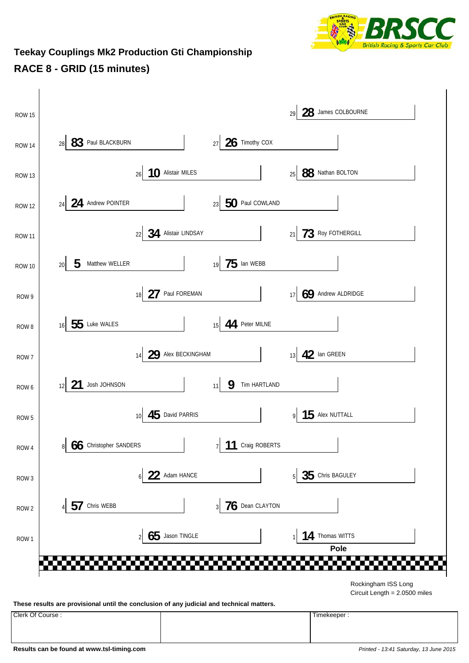

#### **Teekay Couplings Mk2 Production Gti Championship RACE 8 - GRID (15 minutes)**

| <b>ROW 15</b>    |                                        |                                     | 28 James COLBOURNE<br>29            |  |
|------------------|----------------------------------------|-------------------------------------|-------------------------------------|--|
| <b>ROW 14</b>    | 83 Paul BLACKBURN<br>28                | 26 Timothy COX<br>27                |                                     |  |
| ROW 13           | 10 Alistair MILES<br>$26\,$            |                                     | 88 Nathan BOLTON<br>25              |  |
| <b>ROW 12</b>    | 24 Andrew POINTER<br>24                | 50 Paul COWLAND<br>23               |                                     |  |
| <b>ROW 11</b>    | 22 34 Alistair LINDSAY                 |                                     | 73 ROY FOTHERGILL<br>21             |  |
| <b>ROW 10</b>    | 5<br>Matthew WELLER<br>20 <sub>2</sub> | $75$ lan WEBB<br>19                 |                                     |  |
| ROW 9            | 27 Paul FOREMAN<br>18                  |                                     | 69 Andrew ALDRIDGE<br>17            |  |
| ROW 8            | 55 Luke WALES<br>16                    | 44 Peter MILNE<br>15                |                                     |  |
| ROW 7            | 29 Alex BECKINGHAM<br>14               |                                     | 42 Ian GREEN<br>13                  |  |
| ROW 6            | 21<br>Josh JOHNSON<br>12               | 9<br>Tim HARTLAND<br>11             |                                     |  |
| ROW <sub>5</sub> | 45 David PARRIS<br>10                  |                                     | $15$ Alex NUTTALL<br>$\overline{9}$ |  |
| ROW 4            | 8 66 Christopher SANDERS               | 7 11 Craig ROBERTS                  |                                     |  |
| ROW <sub>3</sub> | 22 Adam HANCE<br>6 <sup>1</sup>        |                                     | 35 Chris BAGULEY<br>5               |  |
| ROW <sub>2</sub> | 57<br>Chris WEBB                       | $76$ Dean CLAYTON<br>$\overline{3}$ |                                     |  |
| ROW <sub>1</sub> | Jason TINGLE<br>65<br>$\overline{2}$   |                                     | 14<br>Thomas WITTS                  |  |
|                  |                                        |                                     | Pole                                |  |
|                  |                                        |                                     | Rockingham ISS Long                 |  |
|                  |                                        |                                     | Circuit Length = 2.0500 miles       |  |

**These results are provisional until the conclusion of any judicial and technical matters.**

Clerk Of Course : Timekeeper :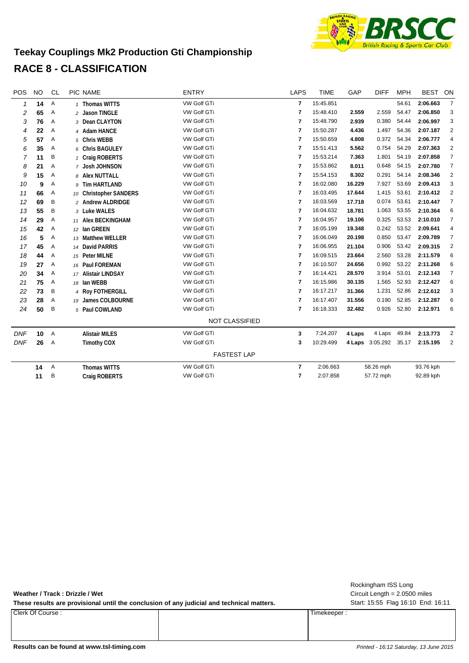

#### **Teekay Couplings Mk2 Production Gti Championship RACE 8 - CLASSIFICATION**

| POS          | <b>NO</b> | <b>CL</b> | PIC NAME               | <b>ENTRY</b>          | <b>LAPS</b>    | <b>TIME</b> | GAP    | <b>DIFF</b>     | <b>MPH</b> | <b>BEST</b> | ON                      |
|--------------|-----------|-----------|------------------------|-----------------------|----------------|-------------|--------|-----------------|------------|-------------|-------------------------|
| $\mathcal I$ | 14        | Α         | 1 Thomas WITTS         | <b>VW Golf GTi</b>    | $\overline{7}$ | 15:45.851   |        |                 | 54.61      | 2:06.663    | $\overline{7}$          |
| 2            | 65        | Α         | 2 Jason TINGLE         | VW Golf GTi           | $\overline{7}$ | 15:48.410   | 2.559  | 2.559           | 54.47      | 2:06.850    | 3                       |
| 3            | 76        | Α         | 3 Dean CLAYTON         | VW Golf GTi           | $\overline{7}$ | 15:48.790   | 2.939  | 0.380           | 54.44      | 2:06.997    | 3                       |
| 4            | 22        | Α         | 4 Adam HANCE           | VW Golf GTi           | $\overline{7}$ | 15:50.287   | 4.436  | 1.497           | 54.36      | 2:07.187    | $\overline{2}$          |
| 5            | 57        | Α         | 5 Chris WEBB           | VW Golf GTi           | 7              | 15:50.659   | 4.808  | 0.372           | 54.34      | 2:06.777    | 4                       |
| 6            | 35        | Α         | 6 Chris BAGULEY        | VW Golf GTi           | $\overline{7}$ | 15:51.413   | 5.562  | 0.754           | 54.29      | 2:07.363    | 2                       |
| 7            | 11        | B         | 1 Craig ROBERTS        | <b>VW Golf GTi</b>    | $\overline{7}$ | 15:53.214   | 7.363  | 1.801           | 54.19      | 2:07.858    | $\overline{7}$          |
| 8            | 21        | Α         | 7 Josh JOHNSON         | VW Golf GTi           | $\overline{7}$ | 15:53.862   | 8.011  | 0.648           | 54.15      | 2:07.780    | $\overline{7}$          |
| 9            | 15        | Α         | 8 Alex NUTTALL         | VW Golf GTi           | 7              | 15:54.153   | 8.302  | 0.291           | 54.14      | 2:08.346    | $\overline{\mathbf{c}}$ |
| 10           | 9         | Α         | 9 Tim HARTLAND         | VW Golf GTi           | $\overline{7}$ | 16:02.080   | 16.229 | 7.927           | 53.69      | 2:09.413    | 3                       |
| 11           | 66        | Α         | 10 Christopher SANDERS | VW Golf GTi           | 7              | 16:03.495   | 17.644 | 1.415           | 53.61      | 2:10.412    | $\overline{c}$          |
| 12           | 69        | Β         | 2 Andrew ALDRIDGE      | <b>VW Golf GTi</b>    | 7              | 16:03.569   | 17.718 | 0.074           | 53.61      | 2:10.447    | $\overline{7}$          |
| 13           | 55        | B         | 3 Luke WALES           | VW Golf GTI           | 7              | 16:04.632   | 18.781 | 1.063           | 53.55      | 2:10.364    | 6                       |
| 14           | 29        | Α         | 11 Alex BECKINGHAM     | VW Golf GTi           | $\overline{7}$ | 16:04.957   | 19.106 | 0.325           | 53.53      | 2:10.010    | $\overline{7}$          |
| 15           | 42        | Α         | 12 Ian GREEN           | VW Golf GTi           | 7              | 16:05.199   | 19.348 | 0.242           | 53.52      | 2:09.641    | 4                       |
| 16           | 5         | Α         | 13 Matthew WELLER      | VW Golf GTi           | 7              | 16:06.049   | 20.198 | 0.850           | 53.47      | 2:09.789    | $\overline{7}$          |
| 17           | 45        | Α         | 14 David PARRIS        | VW Golf GTi           | 7              | 16:06.955   | 21.104 | 0.906           | 53.42      | 2:09.315    | $\overline{\mathbf{c}}$ |
| 18           | 44        | Α         | 15 Peter MILNE         | VW Golf GTi           | 7              | 16:09.515   | 23.664 | 2.560           | 53.28      | 2:11.579    | 6                       |
| 19           | 27        | Α         | 16 Paul FOREMAN        | VW Golf GTi           | 7              | 16:10.507   | 24.656 | 0.992           | 53.22      | 2:11.268    | 6                       |
| 20           | 34        | Α         | 17 Alistair LINDSAY    | VW Golf GTi           | 7              | 16:14.421   | 28.570 | 3.914           | 53.01      | 2:12.143    | $\overline{7}$          |
| 21           | 75        | Α         | 18 Ian WEBB            | VW Golf GTi           | 7              | 16:15.986   | 30.135 | 1.565           | 52.93      | 2:12.427    | 6                       |
| 22           | 73        | Β         | 4 Roy FOTHERGILL       | VW Golf GTi           | $\overline{7}$ | 16:17.217   | 31.366 | 1.231           | 52.86      | 2:12.612    | 3                       |
| 23           | 28        | Α         | 19 James COLBOURNE     | VW Golf GTi           | 7              | 16:17.407   | 31.556 | 0.190           | 52.85      | 2:12.287    | 6                       |
| 24           | 50        | B         | 5 Paul COWLAND         | VW Golf GTi           | 7              | 16:18.333   | 32.482 | 0.926           | 52.80      | 2:12.971    | 6                       |
|              |           |           |                        | <b>NOT CLASSIFIED</b> |                |             |        |                 |            |             |                         |
| <b>DNF</b>   | 10        | Α         | <b>Alistair MILES</b>  | VW Golf GTi           | 3              | 7:24.207    | 4 Laps | 4 Laps          | 49.84      | 2:13.773    | $\overline{2}$          |
| <b>DNF</b>   | 26        | Α         | <b>Timothy COX</b>     | VW Golf GTi           | 3              | 10:29.499   |        | 4 Laps 3:05.292 | 35.17      | 2:15.195    | $\overline{2}$          |
|              |           |           |                        | <b>FASTEST LAP</b>    |                |             |        |                 |            |             |                         |
|              | 14        | Α         | <b>Thomas WITTS</b>    | VW Golf GTi           | $\overline{7}$ | 2:06.663    |        | 58.26 mph       |            | 93.76 kph   |                         |
|              | 11        | B         | <b>Craig ROBERTS</b>   | VW Golf GTi           | 7              | 2:07.858    |        | 57.72 mph       |            | 92.89 kph   |                         |
|              |           |           |                        |                       |                |             |        |                 |            |             |                         |

**Weather / Track : Drizzle / Wet**

These results are provisional until the conclusion of any judicial and technical matters. Start: 15:55 Flag 16:10 End: 16:11

Clerk Of Course : Timekeeper :

Circuit Length = 2.0500 miles Rockingham ISS Long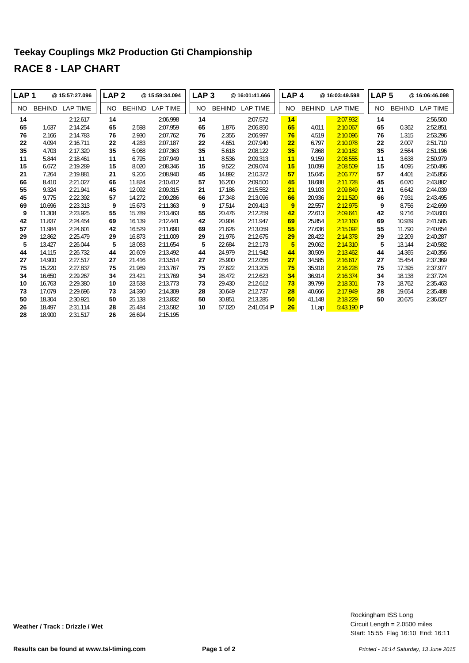#### **Teekay Couplings Mk2 Production Gti Championship RACE 8 - LAP CHART**

| LAP <sub>1</sub> |               | @ 15:57:27.096  | LAP <sub>2</sub> |               | @15:59:34.094   | LAP <sub>3</sub> |               | @ 16:01:41.666  | LAP <sub>4</sub> |               | @ 16:03:49.598  | LAP <sub>5</sub> |               | @16:06:46.098   |
|------------------|---------------|-----------------|------------------|---------------|-----------------|------------------|---------------|-----------------|------------------|---------------|-----------------|------------------|---------------|-----------------|
| NO.              | <b>BEHIND</b> | <b>LAP TIME</b> | NO.              | <b>BEHIND</b> | <b>LAP TIME</b> | <b>NO</b>        | <b>BEHIND</b> | <b>LAP TIME</b> | NO.              | <b>BEHIND</b> | <b>LAP TIME</b> | NO.              | <b>BEHIND</b> | <b>LAP TIME</b> |
| 14               |               | 2:12.617        | 14               |               | 2:06.998        | 14               |               | 2:07.572        | 14               |               | 2:07.932        | 14               |               | 2:56.500        |
| 65               | 1.637         | 2:14.254        | 65               | 2.598         | 2:07.959        | 65               | 1.876         | 2:06.850        | 65               | 4.011         | 2:10.067        | 65               | 0.362         | 2:52.851        |
| 76               | 2.166         | 2:14.783        | 76               | 2.930         | 2:07.762        | 76               | 2.355         | 2:06.997        | 76               | 4.519         | 2:10.096        | 76               | 1.315         | 2:53.296        |
| 22               | 4.094         | 2:16.711        | 22               | 4.283         | 2:07.187        | 22               | 4.651         | 2:07.940        | 22               | 6.797         | 2:10.078        | 22               | 2.007         | 2:51.710        |
| 35               | 4.703         | 2:17.320        | 35               | 5.068         | 2:07.363        | 35               | 5.618         | 2:08.122        | 35               | 7.868         | 2:10.182        | 35               | 2.564         | 2:51.196        |
| 11               | 5.844         | 2:18.461        | 11               | 6.795         | 2:07.949        | 11               | 8.536         | 2:09.313        | 11               | 9.159         | 2:08.555        | 11               | 3.638         | 2:50.979        |
| 15               | 6.672         | 2:19.289        | 15               | 8.020         | 2:08.346        | 15               | 9.522         | 2:09.074        | 15               | 10.099        | 2:08.509        | 15               | 4.095         | 2:50.496        |
| 21               | 7.264         | 2:19.881        | 21               | 9.206         | 2:08.940        | 45               | 14.892        | 2:10.372        | 57               | 15.045        | 2:06.777        | 57               | 4.401         | 2:45.856        |
| 66               | 8.410         | 2:21.027        | 66               | 11.824        | 2:10.412        | 57               | 16.200        | 2:09.500        | 45               | 18.688        | 2:11.728        | 45               | 6.070         | 2:43.882        |
| 55               | 9.324         | 2:21.941        | 45               | 12.092        | 2:09.315        | 21               | 17.186        | 2:15.552        | 21               | 19.103        | 2:09.849        | 21               | 6.642         | 2:44.039        |
| 45               | 9.775         | 2:22.392        | 57               | 14.272        | 2:09.286        | 66               | 17.348        | 2:13.096        | 66               | 20.936        | 2:11.520        | 66               | 7.931         | 2:43.495        |
| 69               | 10.696        | 2:23.313        | 9                | 15.673        | 2:11.363        | 9                | 17.514        | 2:09.413        | 9                | 22.557        | 2:12.975        | 9                | 8.756         | 2:42.699        |
| 9                | 11.308        | 2:23.925        | 55               | 15.789        | 2:13.463        | 55               | 20.476        | 2:12.259        | 42               | 22.613        | 2:09.641        | 42               | 9.716         | 2:43.603        |
| 42               | 11.837        | 2:24.454        | 69               | 16.139        | 2:12.441        | 42               | 20.904        | 2:11.947        | 69               | 25.854        | 2:12.160        | 69               | 10.939        | 2:41.585        |
| 57               | 11.984        | 2:24.601        | 42               | 16.529        | 2:11.690        | 69               | 21.626        | 2:13.059        | 55               | 27.636        | 2:15.092        | 55               | 11.790        | 2:40.654        |
| 29               | 12.862        | 2:25.479        | 29               | 16.873        | 2:11.009        | 29               | 21.976        | 2:12.675        | 29               | 28.422        | 2:14.378        | 29               | 12.209        | 2:40.287        |
| 5                | 13.427        | 2:26.044        | 5                | 18.083        | 2:11.654        | 5                | 22.684        | 2:12.173        | 5                | 29.062        | 2:14.310        | 5                | 13.144        | 2:40.582        |
| 44               | 14.115        | 2:26.732        | 44               | 20.609        | 2:13.492        | 44               | 24.979        | 2:11.942        | 44               | 30.509        | 2:13.462        | 44               | 14.365        | 2:40.356        |
| 27               | 14.900        | 2:27.517        | 27               | 21.416        | 2:13.514        | 27               | 25.900        | 2:12.056        | 27               | 34.585        | 2:16.617        | 27               | 15.454        | 2:37.369        |
| 75               | 15.220        | 2:27.837        | 75               | 21.989        | 2:13.767        | 75               | 27.622        | 2:13.205        | 75               | 35.918        | 2:16.228        | 75               | 17.395        | 2:37.977        |
| 34               | 16.650        | 2:29.267        | 34               | 23.421        | 2:13.769        | 34               | 28.472        | 2:12.623        | 34               | 36.914        | 2:16.374        | 34               | 18.138        | 2:37.724        |
| 10               | 16.763        | 2:29.380        | 10               | 23.538        | 2:13.773        | 73               | 29.430        | 2:12.612        | 73               | 39.799        | 2:18.301        | 73               | 18.762        | 2:35.463        |
| 73               | 17.079        | 2:29.696        | 73               | 24.390        | 2:14.309        | 28               | 30.649        | 2:12.737        | 28               | 40.666        | 2:17.949        | 28               | 19.654        | 2:35.488        |
| 50               | 18.304        | 2:30.921        | 50               | 25.138        | 2:13.832        | 50               | 30.851        | 2:13.285        | 50 <sub>5</sub>  | 41.148        | 2:18.229        | 50               | 20.675        | 2:36.027        |
| 26               | 18.497        | 2:31.114        | 28               | 25.484        | 2:13.582        | 10               | 57.020        | 2:41.054 P      | 26               | 1 Lap         | $5:43.190$ P    |                  |               |                 |
| 28               | 18.900        | 2:31.517        | 26               | 26.694        | 2:15.195        |                  |               |                 |                  |               |                 |                  |               |                 |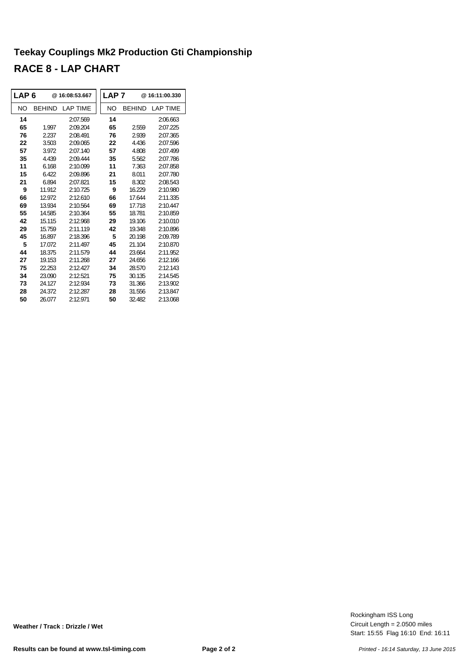#### **Teekay Couplings Mk2 Production Gti Championship RACE 8 - LAP CHART**

| I LAP 6 |               | @16:08:53.667   | LAP <sub>7</sub> |               | @16:11:00.330   |
|---------|---------------|-----------------|------------------|---------------|-----------------|
| NO      | <b>BEHIND</b> | <b>LAP TIME</b> | NO               | <b>BEHIND</b> | <b>LAP TIME</b> |
| 14      |               | 2:07.569        | 14               |               | 2:06.663        |
| 65      | 1.997         | 2:09.204        | 65               | 2.559         | 2:07.225        |
| 76      | 2.237         | 2:08.491        | 76               | 2.939         | 2:07.365        |
| 22      | 3.503         | 2:09.065        | 22               | 4.436         | 2:07.596        |
| 57      | 3.972         | 2:07.140        | 57               | 4.808         | 2:07.499        |
| 35      | 4.439         | 2:09.444        | 35               | 5.562         | 2:07.786        |
| 11      | 6.168         | 2:10.099        | 11               | 7.363         | 2:07.858        |
| 15      | 6.422         | 2:09.896        | 21               | 8.011         | 2:07.780        |
| 21      | 6.894         | 2:07.821        | 15               | 8.302         | 2:08.543        |
| 9       | 11.912        | 2:10.725        | 9                | 16.229        | 2:10.980        |
| 66      | 12 9 72       | 2:12610         | 66               | 17.644        | 2:11.335        |
| 69      | 13.934        | 2:10.564        | 69               | 17.718        | 2:10.447        |
| 55      | 14.585        | 2:10.364        | 55               | 18.781        | 2:10.859        |
| 42      | 15.115        | 2:12.968        | 29               | 19.106        | 2:10.010        |
| 29      | 15.759        | 2:11.119        | 42               | 19.348        | 2:10.896        |
| 45      | 16.897        | 2:18.396        | 5                | 20 198        | 2.09.789        |
| 5       | 17.072        | 2:11.497        | 45               | 21.104        | 2:10.870        |
| 44      | 18 375        | 2.11579         | 44               | 23.664        | 2:11.952        |
| 27      | 19.153        | 2:11.268        | 27               | 24.656        | 2:12.166        |
| 75      | 22.253        | 2:12.427        | 34               | 28.570        | 2:12.143        |
| 34      | 23.090        | 2:12.521        | 75               | 30.135        | 2:14.545        |
| 73      | 24.127        | 2:12.934        | 73               | 31.366        | 2:13.902        |
| 28      | 24.372        | 2:12.287        | 28               | 31.556        | 2:13.847        |
| 50      | 26.077        | 2:12.971        | 50               | 32.482        | 2:13.068        |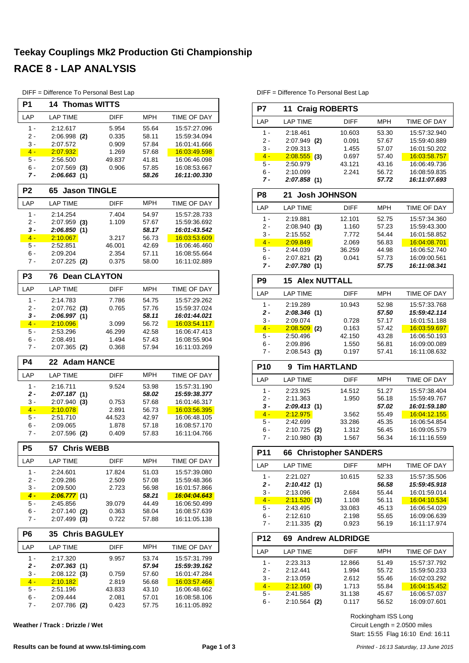#### **Teekay Couplings Mk2 Production Gti Championship RACE 8 - LAP ANALYSIS**

|                  | DIFF = Difference To Personal Best Lap |                 |                |                              |
|------------------|----------------------------------------|-----------------|----------------|------------------------------|
| P <sub>1</sub>   | 14<br><b>Thomas WITTS</b>              |                 |                |                              |
| LAP              | <b>LAP TIME</b>                        | DIFF            | MPH            | TIME OF DAY                  |
| $1 -$            | 2:12.617                               | 5.954           | 55.64          | 15:57:27.096                 |
| $2 -$            | $2:06.998$ (2)                         | 0.335           | 58.11          | 15:59:34.094                 |
| 3 -              | 2:07.572                               | 0.909           | 57.84          | 16:01:41.666                 |
| $4 -$            | <u>2:07.932</u>                        | 1.269           | 57.68          | <u>16:03:49.598</u>          |
| 5 -              | 2:56.500                               | 49.837          | 41.81          | 16:06:46.098                 |
| 6 -              | $2:07.569$ (3)                         | 0.906           | 57.85          | 16:08:53.667                 |
| 7 -              | 2:06.663 (1)                           |                 | 58.26          | 16:11:00.330                 |
| P <sub>2</sub>   | 65<br><b>Jason TINGLE</b>              |                 |                |                              |
| LAP              | <b>LAP TIME</b>                        | <b>DIFF</b>     | MPH            | TIME OF DAY                  |
| $1 -$            | 2:14.254                               | 7.404           | 54.97          | 15:57:28.733                 |
| 2 -              | $2:07.959$ (3)                         | 1.109           | 57.67          | 15:59:36.692                 |
| 3 -              | 2:06.850(1)                            |                 | 58.17          | 16:01:43.542                 |
| $4 -$            | 2:10.067                               | 3.217           | 56.73          | 16:03:53.609                 |
| 5 -              | 2:52.851                               | 46.001          | 42.69          | 16:06:46.460                 |
| $6 -$            | 2:09.204                               | 2.354           | 57.11          | 16:08:55.664<br>16:11:02.889 |
| 7 -              | $2:07.225$ (2)                         | 0.375           | 58.00          |                              |
| P <sub>3</sub>   | <b>Dean CLAYTON</b><br>76              |                 |                |                              |
| LAP              | <b>LAP TIME</b>                        | <b>DIFF</b>     | <b>MPH</b>     | <b>TIME OF DAY</b>           |
| $1 -$            | 2:14.783                               | 7.786           | 54.75          | 15:57:29.262                 |
| 2 -              | $2:07.762$ (3)                         | 0.765           | 57.76          | 15:59:37.024                 |
| $3 -$            | 2:06.997 (1)                           |                 | 58.11          | 16:01:44.021                 |
| $4 -$            | 2:10.096                               | 3.099           | 56.72          | 16:03:54.117                 |
| 5 -              | 2.53.296                               | 46.299          | 42.58          | 16:06:47.413                 |
| 6 -              | 2:08.491                               | 1.494           | 57.43          | 16:08:55.904                 |
| $7 -$            | $2:07.365$ (2)                         | 0.368           | 57.94          | 16:11:03.269                 |
| P4               | 22 Adam HANCE                          |                 |                |                              |
| LAP              | <b>LAP TIME</b>                        | <b>DIFF</b>     | MPH            | TIME OF DAY                  |
| $1 -$            | 2:16.711                               | 9.524           | 53.98          | 15:57:31.190                 |
| 2 -              | 2:07.187(1)                            |                 | 58.02          | 15:59:38.377                 |
| 3 -              | $2:07.940$ (3)                         | 0.753           | 57.68          | 16:01:46.317                 |
| $4 -$            | <u>2:10.078</u>                        | 2.891           | 56.73          | 16:03:56.395                 |
| $5 -$            | 2:51.710                               | 44.523          | 42.97          | 16:06:48.105                 |
| 6 -              | 2:09.065                               | 1.878           | 57.18          | 16:08:57.170<br>16:11:04.766 |
| 7 -              | $2:07.596$ (2)                         | 0.409           | 57.83          |                              |
| P <sub>5</sub>   | 57 Chris WEBB                          |                 |                |                              |
| LAP              | <b>LAP TIME</b>                        | DIFF            | MPH            | <b>TIME OF DAY</b>           |
| 1 -              | 2:24.601                               | 17.824          | 51.03          | 15:57:39.080                 |
| 2 -              | 2:09.286                               | 2.509           | 57.08          | 15:59:48.366                 |
| 3 -              | 2:09.500                               | 2.723           | 56.98          | 16:01:57.866                 |
| $\overline{4}$ - | 2:06.777(1)                            |                 | 58.21          | <u>16:04:04.643</u>          |
| 5 -              | 2:45.856                               | 39.079          | 44.49          | 16:06:50.499                 |
| 6 -<br>7 -       | $2:07.140$ (2)<br>$2:07.499$ (3)       | 0.363<br>0.722  | 58.04<br>57.88 | 16:08:57.639<br>16:11:05.138 |
|                  |                                        |                 |                |                              |
| P <sub>6</sub>   | <b>Chris BAGULEY</b><br>35             |                 |                |                              |
| LAP              | LAP TIME                               | <b>DIFF</b>     | MPH            | TIME OF DAY                  |
| 1 -              | 2:17.320                               | 9.957           | 53.74          | 15:57:31.799                 |
| 2 -              | 2:07.363 (1)                           |                 | 57.94          | 15:59:39.162                 |
| 3 -              | $2:08.122$ (3)                         | 0.759           | 57.60          | 16:01:47.284                 |
| $4 -$            |                                        |                 | 56.68          |                              |
|                  | <u> 2:10.182 </u>                      | 2.819           |                | 16:03:57.466                 |
| 5 -<br>6 -       | 2:51.196<br>2:09.444                   | 43.833<br>2.081 | 43.10<br>57.01 | 16:06:48.662<br>16:08:58.106 |

**Weather / Track : Drizzle / Wet**

DIFF = Difference To Personal Best Lap

| P7              | 11 Craig ROBERTS           |                 |                |                                              |
|-----------------|----------------------------|-----------------|----------------|----------------------------------------------|
| LAP             | <b>LAP TIME</b>            | <b>DIFF</b>     | MPH            | <b>TIME OF DAY</b>                           |
| 1 -             | 2:18.461                   | 10.603          | 53.30          | 15:57:32.940                                 |
| 2 -             | $2:07.949$ (2)             | 0.091           | 57.67          | 15:59:40.889                                 |
| 3 -             | 2:09.313                   | 1.455           | 57.07          | 16:01:50.202                                 |
| $4 -$           | $2:08.555$ (3)             | 0.697           | 57.40          | 16:03:58.757                                 |
| 5 -<br>6 -      | 2:50.979<br>2:10.099       | 43.121<br>2.241 | 43.16<br>56.72 | 16:06:49.736<br>16:08:59.835                 |
| 7 -             | 2:07.858(1)                |                 | 57.72          | 16:11:07.693                                 |
| P8              | <b>Josh JOHNSON</b><br>21  |                 |                |                                              |
| LAP             | <b>LAP TIME</b>            | <b>DIFF</b>     | <b>MPH</b>     | TIME OF DAY                                  |
| 1 -             | 2:19.881                   | 12.101          | 52.75          | 15:57:34.360                                 |
| 2 -             | 2:08.940(3)                | 1.160           | 57.23          | 15:59:43.300                                 |
| 3 -             | 2:15.552                   | 7.772           | 54.44          | 16:01:58.852                                 |
| $4 -$           | 2:09.849                   | 2.069           | 56.83          | 16:04:08.701                                 |
| 5 -             | 2:44.039                   | 36.259          | 44.98          | 16:06:52.740                                 |
| 6 -             | 2:07.821<br>(2)            | 0.041           | 57.73          | 16:09:00.561                                 |
| 7 -             | 2:07.780 (1)               |                 | 57.75          | 16:11:08.341                                 |
| P <sub>9</sub>  | <b>Alex NUTTALL</b><br>15  |                 |                |                                              |
| LAP             | <b>LAP TIME</b>            | <b>DIFF</b>     | <b>MPH</b>     | <b>TIME OF DAY</b>                           |
| 1 -             | 2:19.289                   | 10.943          | 52.98          | 15:57:33.768                                 |
| 2 -             | 2:08.346(1)                |                 | 57.50          | 15:59:42.114                                 |
| $3 -$           | 2:09.074                   | 0.728           | 57.17          | 16:01:51.188                                 |
| $4 -$           | $2:08.509$ (2)             | 0.163           | 57.42          | 16:03:59.697                                 |
| 5 -<br>6 -      | 2:50.496<br>2:09.896       | 42.150<br>1.550 | 43.28<br>56.81 | 16:06:50.193<br>16:09:00.089                 |
| 7 -             | $2:08.543$ (3)             | 0.197           | 57.41          | 16:11:08.632                                 |
|                 | <b>Tim HARTLAND</b>        |                 |                |                                              |
| <b>P10</b>      | 9                          |                 |                |                                              |
| LAP             | <b>LAP TIME</b>            | <b>DIFF</b>     | <b>MPH</b>     | TIME OF DAY                                  |
| 1 -             | 2:23.925                   | 14.512          | 51.27          | 15:57:38.404                                 |
| 2 -<br>$3 -$    | 2:11.363<br>2:09.413(1)    | 1.950           | 56.18          | 15:59:49.767                                 |
| $4 -$           | 2:12.975                   | 3.562           | 57.02<br>55.49 | 16:01:59.180<br>16:04:12.155                 |
| $5 -$           | 2:42.699                   | 33.286          | 45.35          | 16:06:54.854                                 |
| 6 -             | 2:10.725<br>(2)            | 1.312           | 56.45          | 16:09:05.579                                 |
| 7 -             | $2:10.980$ (3)             | 1.567           | 56.34          | 16:11:16.559                                 |
| P11             | 66 Christopher SANDERS     |                 |                |                                              |
|                 |                            |                 |                |                                              |
| LAP             | <b>LAP TIME</b>            | <b>DIFF</b>     | MPH            | TIME OF DAY                                  |
| 1 -             | 2:21.027                   | 10.615          | 52.33          | 15:57:35.506                                 |
| 2 -             | 2:10.412 (1)               |                 | 56.58          |                                              |
| 3 -             | 2:13.096                   | 2.684           | 55.44          | 16:01:59.014                                 |
| $4 -$           | 2:11.520(3)                | 1.108           | 56.11          | 16:04:10.534                                 |
| 5 -             | 2:43.495                   | 33.083          | 45.13          | 16:06:54.029                                 |
| 6 -<br>7 -      | 2:12.610<br>$2:11.335$ (2) | 2.198<br>0.923  | 55.65<br>56.19 | 16:09:06.639<br>16:11:17.974                 |
| P <sub>12</sub> | <b>69 Andrew ALDRIDGE</b>  |                 |                |                                              |
| LAP             | <b>LAP TIME</b>            | DIFF            | <b>MPH</b>     | TIME OF DAY                                  |
|                 |                            |                 |                |                                              |
| 1 -<br>2 -      | 2:23.313<br>2:12.441       | 12.866<br>1.994 | 51.49<br>55.72 | 15:57:37.792<br>15:59:50.233                 |
| $3 -$           | 2:13.059                   | 2.612           | 55.46          | 16:02:03.292                                 |
| $4 -$           | 2:12.160(3)                | 1.713           | 55.84          | 16:04:15.452                                 |
| 5 -<br>6 -      | 2:41.585<br>$2:10.564$ (2) | 31.138<br>0.117 | 45.67<br>56.52 | 15:59:45.918<br>16:06:57.037<br>16:09:07.601 |

Start: 15:55 Flag 16:10 End: 16:11 Circuit Length = 2.0500 miles Rockingham ISS Long

6 - 2:09.444 2.081 57.01

7 - 2:07.786 (2) 0.423 57.75 16:11:05.892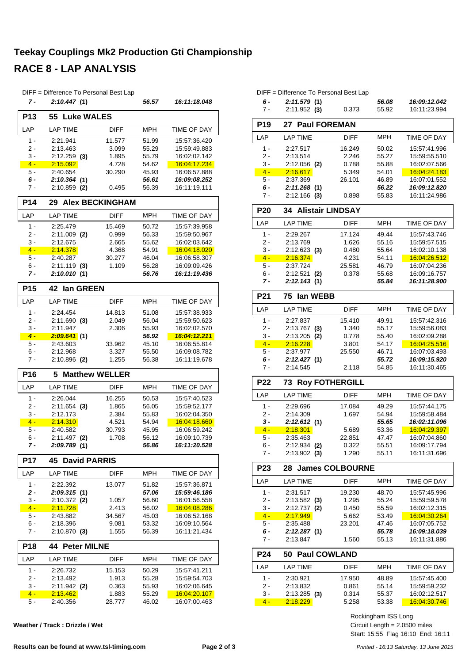#### **Teekay Couplings Mk2 Production Gti Championship RACE 8 - LAP ANALYSIS**

|                 | DIFF = Difference To Personal Best Lap |                        |                |                              |
|-----------------|----------------------------------------|------------------------|----------------|------------------------------|
| 7 -             | 2:10.447(1)                            |                        | 56.57          | 16:11:18.048                 |
| <b>P13</b>      | <b>Luke WALES</b><br>55                |                        |                |                              |
| LAP             | <b>LAP TIME</b>                        | <b>DIFF</b>            | <b>MPH</b>     | TIME OF DAY                  |
| $1 -$           | 2:21.941                               | 11.577                 | 51.99          | 15:57:36.420                 |
| 2 -             | 2:13.463                               | 3.099                  | 55.29          | 15:59:49.883                 |
| 3 -             | $2:12.259$ (3)                         | 1.895                  | 55.79          | 16:02:02.142                 |
| $4 -$           | 2:15.092                               | 4.728                  | 54.62          | 16:04:17.234                 |
| 5 -             | 2:40.654                               | 30.290                 | 45.93          | 16:06:57.888                 |
| 6 -<br>7 -      | 2:10.364(1)<br>$2:10.859$ (2)          | 0.495                  | 56.61<br>56.39 | 16:09:08.252<br>16:11:19.111 |
| P <sub>14</sub> | 29                                     | <b>Alex BECKINGHAM</b> |                |                              |
| LAP             | <b>LAP TIME</b>                        | <b>DIFF</b>            | <b>MPH</b>     | TIME OF DAY                  |
| $1 -$           | 2:25.479                               | 15.469                 | 50.72          | 15:57:39.958                 |
| 2 -             | $2:11.009$ (2)                         | 0.999                  | 56.33          | 15:59:50.967                 |
| 3 -             | 2:12.675                               | 2.665                  | 55.62          | 16:02:03.642                 |
| $4 -$           | 2:14.378                               | 4.368                  | 54.91          | 16:04:18.020                 |
| 5 -             | 2:40.287                               | 30.277                 | 46.04          | 16:06:58.307                 |
| 6 -             | $2:11.119$ (3)                         | 1.109                  | 56.28          | 16:09:09.426                 |
| 7 -             | 2:10.010(1)                            |                        | 56.76          | 16:11:19.436                 |
| P <sub>15</sub> | 42<br>lan GREEN                        |                        |                |                              |
| LAP             | <b>LAP TIME</b>                        | <b>DIFF</b>            | MPH            | TIME OF DAY                  |
| $1 -$           | 2:24.454                               | 14.813                 | 51.08          | 15:57:38.933                 |
| 2 -             | $2:11.690$ (3)                         | 2.049                  | 56.04          | 15:59:50.623                 |
| 3 -             | 2:11.947                               | 2.306                  | 55.93          | 16:02:02.570                 |
| $4 -$           | $2:09.641$ (1)                         |                        | 56.92          | <u>16:04:12.211</u>          |
| 5 -             | 2:43.603                               | 33.962                 | 45.10          | 16:06:55.814                 |
| 6 -<br>7 -      | 2:12.968<br>$2:10.896$ (2)             | 3.327<br>1.255         | 55.50<br>56.38 | 16:09:08.782<br>16:11:19.678 |
|                 |                                        |                        |                |                              |
| P <sub>16</sub> | <b>Matthew WELLER</b><br>5             |                        |                |                              |
| LAP             | <b>LAP TIME</b>                        | <b>DIFF</b>            | <b>MPH</b>     | TIME OF DAY                  |
| $1 -$           | 2:26.044                               | 16.255                 | 50.53          | 15:57:40.523                 |
| 2 -             | $2:11.654$ (3)                         | 1.865                  | 56.05          | 15:59:52.177                 |
| $3 -$           | 2:12.173                               | 2.384                  | 55.83          | 16:02:04.350                 |
| $4 -$           | 2:14.310                               | 4.521                  | 54.94          | 16:04:18.660<br>16:06:59.242 |
| 5 -<br>$6 -$    | 2:40.582<br>2:11.497 (2)               | 30.793<br>1.708        | 45.95<br>56.12 | 16:09:10.739                 |
| 7 -             | 2:09.789(1)                            |                        | 56.86          | 16:11:20.528                 |
|                 | <b>45 David PARRIS</b>                 |                        |                |                              |
| P17             |                                        |                        |                |                              |
| LAP             | <b>LAP TIME</b>                        | DIFF                   | MPH            | TIME OF DAY                  |
| $1 -$           | 2:22.392                               | 13.077                 | 51.82          | 15:57:36.871                 |
| 2 -             | 2:09.315(1)                            |                        | 57.06          | 15:59:46.186                 |
| 3 -<br>$4 -$    | 2:10.372<br>(2)<br>2:11.728            | 1.057<br>2.413         | 56.60<br>56.02 | 16:01:56.558<br>16:04:08.286 |
| 5 -             | 2:43.882                               | 34.567                 | 45.03          | 16:06:52.168                 |
| 6 -             | 2:18.396                               | 9.081                  | 53.32          | 16:09:10.564                 |
| $7 -$           | $2:10.870$ (3)                         | 1.555                  | 56.39          | 16:11:21.434                 |
| <b>P18</b>      | 44 Peter MILNE                         |                        |                |                              |
| LAP             | <b>LAP TIME</b>                        | DIFF                   | MPH            | TIME OF DAY                  |
| $1 -$           | 2:26.732                               | 15.153                 | 50.29          | 15:57:41.211                 |
| 2 -             | 2:13.492                               | 1.913                  | 55.28          | 15:59:54.703                 |
| $3 -$           | 2:11.942 (2)                           | 0.363                  | 55.93          | 16:02:06.645                 |
| $4 -$           | 2:13.462                               | 1.883                  | 55.29          | 16:04:20.107                 |
| 5 -             | 2:40.356                               | 28.777                 | 46.02          | 16:07:00.463                 |
|                 |                                        |                        |                |                              |

**Weather / Track : Drizzle / Wet**

|                 | DIFF = Difference To Personal Best Lap |                        |                |                                     |
|-----------------|----------------------------------------|------------------------|----------------|-------------------------------------|
| 6 -             | 2:11.579(1)                            |                        | 56.08          | 16:09:12.042                        |
| 7 -             | $2:11.952$ (3)                         | 0.373                  | 55.92          | 16:11:23.994                        |
| <b>P19</b>      | <b>Paul FOREMAN</b><br>27              |                        |                |                                     |
| LAP             | <b>LAP TIME</b>                        | <b>DIFF</b>            | <b>MPH</b>     | TIME OF DAY                         |
| 1 -             | 2:27.517                               | 16.249                 | 50.02          | 15:57:41.996                        |
| 2 -             | 2:13.514                               | 2.246                  | 55.27          | 15:59:55.510                        |
| 3 -             | 2:12.056 (2)                           | 0.788                  | 55.88          | 16:02:07.566                        |
| $4 -$<br>5 -    | 2:16.617<br>2:37.369                   | 5.349<br>26.101        | 54.01<br>46.89 | <u>16:04:24.183</u><br>16:07:01.552 |
| 6 -             | 2:11.268(1)                            |                        | 56.22          | 16:09:12.820                        |
| 7 -             | $2:12.166$ (3)                         | 0.898                  | 55.83          | 16:11:24.986                        |
| <b>P20</b>      | <b>Alistair LINDSAY</b><br>34          |                        |                |                                     |
| LAP             | <b>LAP TIME</b>                        | <b>DIFF</b>            | <b>MPH</b>     | TIME OF DAY                         |
| 1 -             | 2:29.267                               | 17.124                 | 49.44          | 15:57:43.746                        |
| 2 -             | 2:13.769                               | 1.626                  | 55.16          | 15:59:57.515                        |
| 3 -             | $2:12.623$ (3)                         | 0.480                  | 55.64          | 16:02:10.138                        |
| $4 -$           | 2:16.374                               | 4.231                  | 54.11          | 16:04:26.512                        |
| 5 -             | 2:37.724                               | 25.581                 | 46.79          | 16:07:04.236                        |
| 6 -             | 2:12.521<br>(2)                        | 0.378                  | 55.68          | 16:09:16.757<br>16:11:28.900        |
| 7 -             | 2:12.143 (1)                           |                        | 55.84          |                                     |
| P21             | 75<br>lan WEBB                         |                        |                |                                     |
| LAP             | <b>LAP TIME</b>                        | <b>DIFF</b>            | <b>MPH</b>     | TIME OF DAY                         |
| $1 -$           | 2:27.837                               | 15.410                 | 49.91          | 15:57:42.316                        |
| 2 -             | 2:13.767<br>(3)                        | 1.340                  | 55.17          | 15:59:56.083                        |
| 3 -<br>$4 -$    | 2:13.205<br>(2)<br>2:16.228            | 0.778<br>3.801         | 55.40<br>54.17 | 16:02:09.288<br>16:04:25.516        |
| 5 -             | 2:37.977                               | 25.550                 | 46.71          | 16:07:03.493                        |
| 6 -             | 2:12.427(1)                            |                        | 55.72          | 16:09:15.920                        |
| 7 -             | 2:14.545                               | 2.118                  | 54.85          | 16:11:30.465                        |
| <b>P22</b>      | <b>Roy FOTHERGILL</b><br>73            |                        |                |                                     |
| LAP             | <b>LAP TIME</b>                        | <b>DIFF</b>            | <b>MPH</b>     | TIME OF DAY                         |
| 1 -             | 2:29.696                               | 17.084                 | 49.29          | 15 57:44.175                        |
| 2 -             | 2:14.309                               | 1.697                  | 54.94          | 15:59:58.484                        |
| 3 -             | 2:12.612(1)                            |                        | 55.65          | 16:02:11.096                        |
| $4 -$           | 2:18.301                               | 5.689                  | 53.36          | 16:04:29.397                        |
| 5.              | 2:35.463                               | 22.851                 | 47.47          | 16:07:04.860                        |
| 6 -<br>7 -      | $2:12.934$ (2)<br>$2:13.902$ (3)       | 0.322<br>1.290         | 55.51<br>55.11 | 16:09:17.794<br>16:11:31.696        |
| P <sub>23</sub> | 28.                                    | <b>James COLBOURNE</b> |                |                                     |
| LAP             | <b>LAP TIME</b>                        | <b>DIFF</b>            | <b>MPH</b>     | TIME OF DAY                         |
| 1 -             | 2:31.517                               | 19.230                 | 48.70          | 15:57:45.996                        |
| 2 -             | $2:13.582$ (3)                         | 1.295                  | 55.24          | 15:59:59.578                        |
| 3 -             | $2:12.737$ (2)                         | 0.450                  | 55.59          | 16:02:12.315                        |
| $4 -$           | 2:17.949                               | 5.662                  | 53.49          | 16:04:30.264                        |
| 5 -<br>$6 -$    | 2:35.488                               | 23.201                 | 47.46          | 16:07:05.752                        |
| $7 -$           | 2:12.287(1)<br>2:13.847                | 1.560                  | 55.78<br>55.13 | 16:09:18.039<br>16:11:31.886        |
| <b>P24</b>      | <b>Paul COWLAND</b><br>50              |                        |                |                                     |
| LAP             | <b>LAP TIME</b>                        | <b>DIFF</b>            | MPH            | TIME OF DAY                         |
| $1 -$           | 2:30.921                               | 17.950                 | 48.89          | 15:57:45.400                        |
| 2 -             | 2:13.832                               | 0.861                  | 55.14          | 15:59:59.232                        |
| 3 -             | $2:13.285$ (3)                         | 0.314                  | 55.37          | 16:02:12.517                        |
| $4 -$           | 2:18.229                               | 5.258                  | 53.38          | 16:04:30.746                        |

Start: 15:55 Flag 16:10 End: 16:11 Circuit Length = 2.0500 miles Rockingham ISS Long